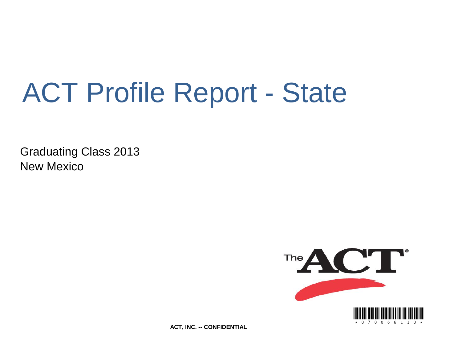# ACT Profile Report - State

Graduating Class 2013 New Mexico



**ACT, INC. -- CONFIDENTIAL**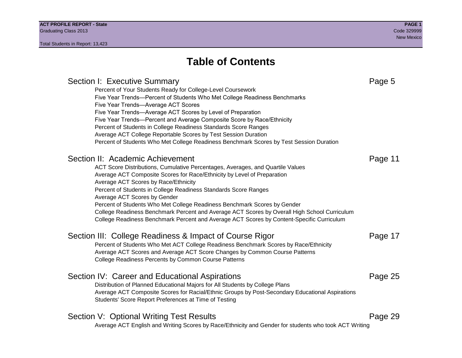# **Table of Contents**

# Section I: Executive Summary **Page 5** and the section I: Executive Summary Percent of Your Students Ready for College-Level Coursework Five Year Trends—Percent of Students Who Met College Readiness Benchmarks Five Year Trends—Average ACT Scores Five Year Trends—Average ACT Scores by Level of Preparation Five Year Trends—Percent and Average Composite Score by Race/Ethnicity Percent of Students in College Readiness Standards Score Ranges Average ACT College Reportable Scores by Test Session Duration Percent of Students Who Met College Readiness Benchmark Scores by Test Session Duration Section II: Academic Achievement **Page 11** Page 11 ACT Score Distributions, Cumulative Percentages, Averages, and Quartile Values Average ACT Composite Scores for Race/Ethnicity by Level of Preparation Average ACT Scores by Race/Ethnicity Percent of Students in College Readiness Standards Score Ranges Average ACT Scores by Gender Percent of Students Who Met College Readiness Benchmark Scores by Gender College Readiness Benchmark Percent and Average ACT Scores by Overall High School Curriculum College Readiness Benchmark Percent and Average ACT Scores by Content-Specific Curriculum Section III: College Readiness & Impact of Course Rigor Page 17 Percent of Students Who Met ACT College Readiness Benchmark Scores by Race/Ethnicity Average ACT Scores and Average ACT Score Changes by Common Course Patterns College Readiness Percents by Common Course Patterns Section IV: Career and Educational Aspirations **Page 25** Page 25 Distribution of Planned Educational Majors for All Students by College Plans Average ACT Composite Scores for Racial/Ethnic Groups by Post-Secondary Educational Aspirations Students' Score Report Preferences at Time of Testing Section V: Optional Writing Test Results **Page 29** Page 29 Average ACT English and Writing Scores by Race/Ethnicity and Gender for students who took ACT Writing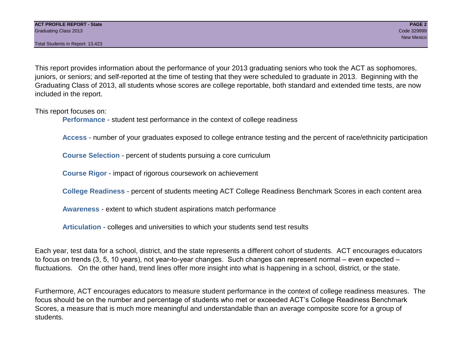Total Students in Report: 13,423

This report provides information about the performance of your 2013 graduating seniors who took the ACT as sophomores, juniors, or seniors; and self-reported at the time of testing that they were scheduled to graduate in 2013. Beginning with the Graduating Class of 2013, all students whose scores are college reportable, both standard and extended time tests, are now included in the report.

This report focuses on:

**Performance** - student test performance in the context of college readiness

**Access** - number of your graduates exposed to college entrance testing and the percent of race/ethnicity participation

**Course Selection** - percent of students pursuing a core curriculum

**Course Rigor** - impact of rigorous coursework on achievement

**College Readiness** - percent of students meeting ACT College Readiness Benchmark Scores in each content area

**Awareness** - extent to which student aspirations match performance

**Articulation** - colleges and universities to which your students send test results

Each year, test data for a school, district, and the state represents a different cohort of students. ACT encourages educators to focus on trends (3, 5, 10 years), not year-to-year changes. Such changes can represent normal – even expected – fluctuations. On the other hand, trend lines offer more insight into what is happening in a school, district, or the state.

Furthermore, ACT encourages educators to measure student performance in the context of college readiness measures. The focus should be on the number and percentage of students who met or exceeded ACT's College Readiness Benchmark Scores, a measure that is much more meaningful and understandable than an average composite score for a group of students.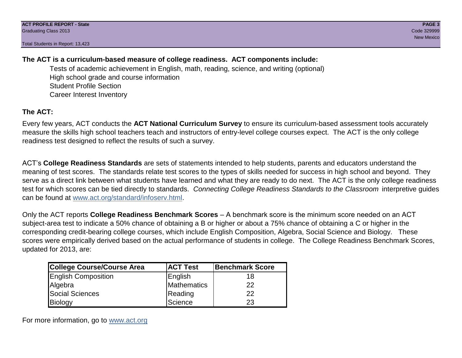Total Students in Report: 13,423

# **The ACT is a curriculum-based measure of college readiness. ACT components include:**

Tests of academic achievement in English, math, reading, science, and writing (optional) High school grade and course information Student Profile Section Career Interest Inventory

# **The ACT:**

Every few years, ACT conducts the **ACT National Curriculum Survey** to ensure its curriculum-based assessment tools accurately measure the skills high school teachers teach and instructors of entry-level college courses expect. The ACT is the only college readiness test designed to reflect the results of such a survey.

ACT's **College Readiness Standards** are sets of statements intended to help students, parents and educators understand the meaning of test scores. The standards relate test scores to the types of skills needed for success in high school and beyond. They serve as a direct link between what students have learned and what they are ready to do next. The ACT is the only college readiness test for which scores can be tied directly to standards. *Connecting College Readiness Standards to the Classroom* interpretive guides can be found at www.act.org/standard/infoserv.html.

Only the ACT reports **College Readiness Benchmark Scores** – A benchmark score is the minimum score needed on an ACT subject-area test to indicate a 50% chance of obtaining a B or higher or about a 75% chance of obtaining a C or higher in the corresponding credit-bearing college courses, which include English Composition, Algebra, Social Science and Biology. These scores were empirically derived based on the actual performance of students in college. The College Readiness Benchmark Scores, updated for 2013, are:

| College Course/Course Area | <b>ACT Test</b> | <b>Benchmark Score</b> |
|----------------------------|-----------------|------------------------|
| <b>English Composition</b> | English         | 18                     |
| Algebra                    | Mathematics     | 22                     |
| <b>Social Sciences</b>     | Reading         | 22                     |
| Biology                    | Science         | 23                     |

For more information, go to www.act.org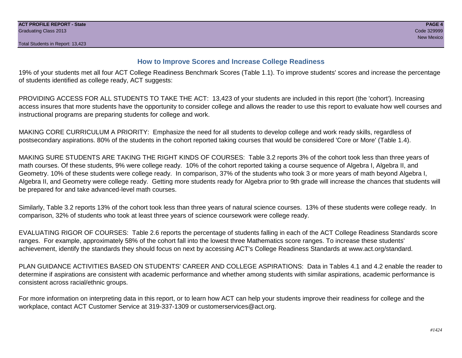## **How to Improve Scores and Increase College Readiness**

19% of your students met all four ACT College Readiness Benchmark Scores (Table 1.1). To improve students' scores and increase the percentage of students identified as college ready, ACT suggests:

PROVIDING ACCESS FOR ALL STUDENTS TO TAKE THE ACT: 13,423 of your students are included in this report (the 'cohort'). Increasing access insures that more students have the opportunity to consider college and allows the reader to use this report to evaluate how well courses and instructional programs are preparing students for college and work.

MAKING CORE CURRICULUM A PRIORITY: Emphasize the need for all students to develop college and work ready skills, regardless of postsecondary aspirations. 80% of the students in the cohort reported taking courses that would be considered 'Core or More' (Table 1.4).

MAKING SURE STUDENTS ARE TAKING THE RIGHT KINDS OF COURSES: Table 3.2 reports 3% of the cohort took less than three years of math courses. Of these students, 9% were college ready. 10% of the cohort reported taking a course sequence of Algebra I, Algebra II, and Geometry. 10% of these students were college ready. In comparison, 37% of the students who took 3 or more years of math beyond Algebra I, Algebra II, and Geometry were college ready. Getting more students ready for Algebra prior to 9th grade will increase the chances that students will be prepared for and take advanced-level math courses.

Similarly, Table 3.2 reports 13% of the cohort took less than three years of natural science courses. 13% of these students were college ready. In comparison, 32% of students who took at least three years of science coursework were college ready.

EVALUATING RIGOR OF COURSES: Table 2.6 reports the percentage of students falling in each of the ACT College Readiness Standards score ranges. For example, approximately 58% of the cohort fall into the lowest three Mathematics score ranges. To increase these students' achievement, identify the standards they should focus on next by accessing ACT's College Readiness Standards at www.act.org/standard.

PLAN GUIDANCE ACTIVITIES BASED ON STUDENTS' CAREER AND COLLEGE ASPIRATIONS: Data in Tables 4.1 and 4.2 enable the reader to determine if aspirations are consistent with academic performance and whether among students with similar aspirations, academic performance is consistent across racial/ethnic groups.

For more information on interpreting data in this report, or to learn how ACT can help your students improve their readiness for college and the workplace, contact ACT Customer Service at 319-337-1309 or customerservices@act.org.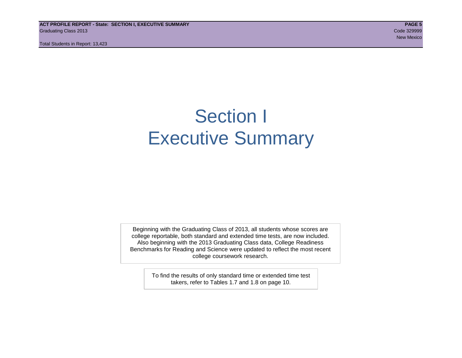**ACT PROFILE REPORT - State: SECTION I, EXECUTIVE SUMMARY PAGE 5** Graduating Class 2013 Code 329999

Total Students in Report: 13,423

# Section I Executive Summary

Beginning with the Graduating Class of 2013, all students whose scores are college reportable, both standard and extended time tests, are now included. Also beginning with the 2013 Graduating Class data, College Readiness Benchmarks for Reading and Science were updated to reflect the most recent college coursework research.

> To find the results of only standard time or extended time test takers, refer to Tables 1.7 and 1.8 on page 10.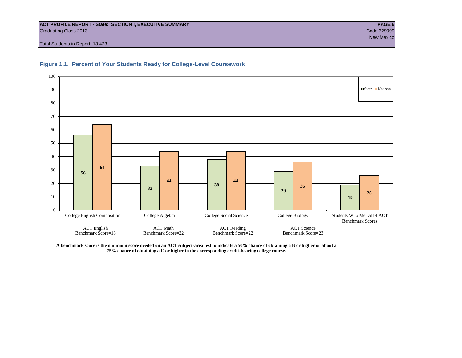#### **ACT PROFILE REPORT - State: SECTION I, EXECUTIVE SUMMARY PAGE 6** Graduating Class 2013 Code 329999

Total Students in Report: 13,423



#### **Figure 1.1. Percent of Your Students Ready for College-Level Coursework**

**A benchmark score is the minimum score needed on an ACT subject-area test to indicate a 50% chance of obtaining a B or higher or about a 75% chance of obtaining a C or higher in the corresponding credit-bearing college course.**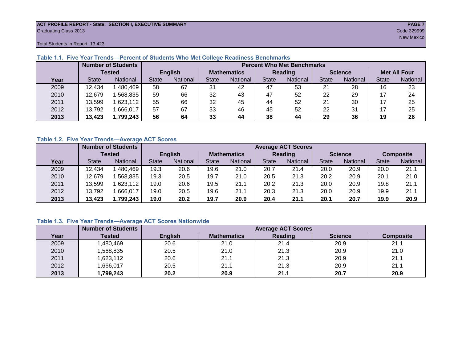#### **ACT PROFILE REPORT - State: SECTION I, EXECUTIVE SUMMARY PAGE 7** Graduating Class 2013 Code 329999

Total Students in Report: 13,423

|      |              | <b>Number of Students</b> |                |          |                    | <b>Percent Who Met Benchmarks</b> |              |          |                |          |                     |          |  |  |  |
|------|--------------|---------------------------|----------------|----------|--------------------|-----------------------------------|--------------|----------|----------------|----------|---------------------|----------|--|--|--|
|      |              | <b>Tested</b>             | <b>English</b> |          | <b>Mathematics</b> |                                   | Reading      |          | <b>Science</b> |          | <b>Met All Four</b> |          |  |  |  |
| Year | <b>State</b> | <b>National</b>           | <b>State</b>   | National |                    | <b>National</b>                   | <b>State</b> | National |                | National | <b>State</b>        | National |  |  |  |
| 2009 | 12,434       | ,480,469                  | 58             | 67       | 31                 | 42                                | 47           | 53       | 21             | 28       | 16                  | 23       |  |  |  |
| 2010 | 12,679       | .568.835                  | 59             | 66       | 32                 | 43                                | 47           | 52       | 22             | 29       |                     | 24       |  |  |  |
| 2011 | 13,599       | ,623,112                  | 55             | 66       | 32                 | 45                                | 44           | 52       | 21             | 30       |                     | 25       |  |  |  |
| 2012 | 13,792       | .666,017                  | 57             | 67       | 33                 | 46                                | 45           | 52       | 22             | 31       |                     | 25       |  |  |  |
| 2013 | 13,423       | 1,799,243                 | 56             | 64       | 33                 | 44                                | 38           | 44       | 29             | 36       | 19                  | 26       |  |  |  |

#### **Table 1.1. Five Year Trends—Percent of Students Who Met College Readiness Benchmarks**

#### **Table 1.2. Five Year Trends—Average ACT Scores**

|      |              | <b>Number of Students</b> |              |                |                    | <b>Average ACT Scores</b> |                |                 |                |          |                  |          |  |  |
|------|--------------|---------------------------|--------------|----------------|--------------------|---------------------------|----------------|-----------------|----------------|----------|------------------|----------|--|--|
|      |              | Tested                    |              | <b>English</b> | <b>Mathematics</b> |                           | <b>Reading</b> |                 | <b>Science</b> |          | <b>Composite</b> |          |  |  |
| Year | <b>State</b> | <b>National</b>           | <b>State</b> | National       | State              | <b>National</b>           | State          | <b>National</b> | <b>State</b>   | National | <b>State</b>     | National |  |  |
| 2009 | 12.434       | .480,469                  | 19.3         | 20.6           | 19.6               | 21.0                      | 20.7           | 21.4            | 20.0           | 20.9     | 20.0             | 21.1     |  |  |
| 2010 | 12,679       | .568.835                  | 19.3         | 20.5           | 19.7               | 21.0                      | 20.5           | 21.3            | 20.2           | 20.9     | 20.1             | 21.0     |  |  |
| 2011 | 13,599       | ,623,112                  | 19.0         | 20.6           | 19.5               | 21.1                      | 20.2           | 21.3            | 20.0           | 20.9     | 19.8             | 21.1     |  |  |
| 2012 | 13,792       | .666,017                  | 19.0         | 20.5           | 19.6               | 21.1                      | 20.3           | 21.3            | 20.0           | 20.9     | 19.9             | 21.1     |  |  |
| 2013 | 13,423       | 1,799,243                 | 19.0         | 20.2           | 19.7               | 20.9                      | 20.4           | 21.1            | 20.1           | 20.7     | 19.9             | 20.9     |  |  |

### **Table 1.3. Five Year Trends—Average ACT Scores Nationwide**

|      | <b>Number of Students</b> |                | <b>Average ACT Scores</b> |         |                |                  |  |  |  |  |  |  |
|------|---------------------------|----------------|---------------------------|---------|----------------|------------------|--|--|--|--|--|--|
| Year | Tested                    | <b>English</b> | <b>Mathematics</b>        | Reading | <b>Science</b> | <b>Composite</b> |  |  |  |  |  |  |
| 2009 | ,480,469                  | 20.6           | 21.0                      | 21.4    | 20.9           | 21.1             |  |  |  |  |  |  |
| 2010 | ,568,835                  | 20.5           | 21.0                      | 21.3    | 20.9           | 21.0             |  |  |  |  |  |  |
| 2011 | ,623,112                  | 20.6           | 21.1                      | 21.3    | 20.9           | 21.1             |  |  |  |  |  |  |
| 2012 | ,666,017                  | 20.5           | 21.1                      | 21.3    | 20.9           | 21.1             |  |  |  |  |  |  |
| 2013 | ,799,243                  | 20.2           | 20.9                      | 21.1    | 20.7           | 20.9             |  |  |  |  |  |  |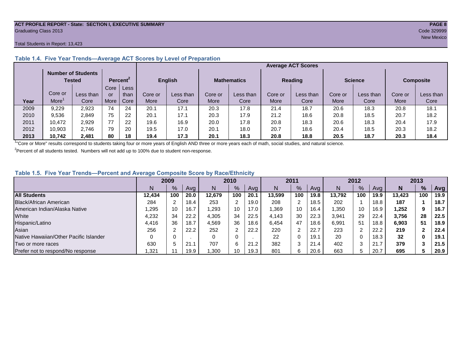#### **ACT PROFILE REPORT - State: SECTION I, EXECUTIVE SUMMARY PAGE 8** Graduating Class 2013 Code 329999

#### Total Students in Report: 13,423

|      |             | <b>Number of Students</b><br>Tested |      | Percent <sup>2</sup> |         | <b>English</b> |         | <b>Mathematics</b> | <b>Reading</b> |           | <b>Science</b> |           | <b>Composite</b> |           |
|------|-------------|-------------------------------------|------|----------------------|---------|----------------|---------|--------------------|----------------|-----------|----------------|-----------|------------------|-----------|
|      |             |                                     | Core | Less                 |         |                |         |                    |                |           |                |           |                  |           |
|      | Core or     | Less than                           | or   | than                 | Core or | Less than      | Core or | Less than          | Core or        | Less than | Core or        | Less than | Core or          | Less than |
| Year | <b>More</b> | Core                                | More | Core                 | More    | Core           | More    | Core               | More           | Core      | More           | Core      | More             | Core      |
| 2009 | 9,229       | 2,923                               | 74   | 24                   | 20.1    | 17.1           | 20.3    | 17.8               | 21.4           | 18.7      | 20.6           | 18.3      | 20.8             | 18.1      |
| 2010 | 9,536       | 2,849                               | 75   | 22                   | 20.1    | 17.1           | 20.3    | 17.9               | 21.2           | 18.6      | 20.8           | 18.5      | 20.7             | 18.2      |
| 2011 | 10,472      | 2,929                               | 77   | 22                   | 19.6    | 16.9           | 20.0    | 17.8               | 20.8           | 18.3      | 20.6           | 18.3      | 20.4             | 17.9      |
| 2012 | 10,903      | 2.746                               | 79   | 20                   | 19.5    | 17.0           | 20.1    | 18.0               | 20.7           | 18.6      | 20.4           | 18.5      | 20.3             | 18.2      |
| 2013 | 10.742      | 2.481                               | 80   | 18                   | 19.4    | 17.3           | 20.1    | 18.3               | 20.8           | 18.8      | 20.5           | 18.7      | 20.3             | 18.4      |

### **Table 1.4. Five Year Trends—Average ACT Scores by Level of Preparation**

<sup>1</sup>"Core or More" results correspond to students taking four or more years of English AND three or more years each of math, social studies, and natural science.

 $2$ Percent of all students tested. Numbers will not add up to 100% due to student non-response.

#### **Table 1.5. Five Year Trends—Percent and Average Composite Score by Race/Ethnicity**

|                                        | 2009   |     |      | 2010   |               | 2011 |        | 2012 |      |        | 2013   |      |        |     |            |
|----------------------------------------|--------|-----|------|--------|---------------|------|--------|------|------|--------|--------|------|--------|-----|------------|
|                                        | N      | %   | Avg  | N      | $\frac{9}{6}$ | Avg  | N      | %    | Avg  | N      | %      | Ava  | N      | %   | <b>Avg</b> |
| <b>All Students</b>                    | 12.434 | 100 | 20.0 | 12.679 | 100           | 20.1 | 13.599 | 100  | 19.8 | 13.792 | 100    | 19.9 | 13.423 | 100 | 19.9       |
| Black/African American                 | 284    |     | 18.4 | 253    | ົ             | 19.0 | 208    | າ    | 18.5 | 202    |        | 18.8 | 187    |     | 18.7       |
| American Indian/Alaska Native          | .295   | 10  | 16.7 | ,293   | 10            | 17.0 | .369   | 10   | 16.4 | ,350   | 10     | 16.9 | 252. ا | 9   | 16.7       |
| White                                  | 4,232  | 34  | 22.2 | 4,305  | 34            | 22.5 | 4.143  | 30   | 22.3 | 3,941  | 29     | 22.4 | 3,756  | 28  | 22.5       |
| Hispanic/Latino                        | 4,416  | 36  | 18.7 | 4,569  | 36            | 18.6 | 6.454  | 47   | 18.6 | 6,991  | 51     | 18.8 | 6,903  | 51  | 18.9       |
| Asian                                  | 256    |     | 22.2 | 252    | ⌒             | 22.2 | 220    | ⌒    | 22.7 | 223    | າ      | 22.2 | 219    |     | 22.4       |
| Native Hawaiian/Other Pacific Islander |        |     |      |        | $\Omega$      |      | 22     | 0    | 19.1 | 20     | 0      | 18.3 | 32     | 0   | 19.1       |
| Two or more races                      | 630    |     | 21.  | 707    | 6             | 21.2 | 382    | 3    | 21.4 | 402    | ົ<br>3 | 21.7 | 379    |     | 21.5       |
| Prefer not to respond/No response      | ,321   |     | 19.9 | 1,300  | 10            | 19.3 | 801    | 6    | 20.6 | 663    | 5.     | 20.7 | 695    |     | 20.9       |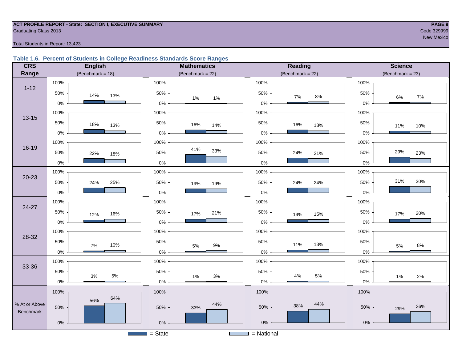#### **ACT PROFILE REPORT - State: SECTION I, EXECUTIVE SUMMARY PAGE 9 Graduating Class 2013** Code 329999 Code 329999

#### Total Students in Report: 13,423

#### **Table 1.6. Percent of Students in College Readiness Standards Score Ranges**

| <b>CRS</b>       | <b>English</b>      | <b>Mathematics</b>                    | Reading               | <b>Science</b>     |  |  |  |
|------------------|---------------------|---------------------------------------|-----------------------|--------------------|--|--|--|
| Range            | (Benchmark = $18$ ) | (Benchmark = $22$ )                   | (Benchmark = $22$ )   | $(Benchmark = 23)$ |  |  |  |
|                  | 100%                | 100%                                  | 100%                  | 100%               |  |  |  |
| $1 - 12$         | 50%<br>14%<br>13%   | 50%<br>$1\%$<br>$1\%$                 | 50%<br>$7\%$<br>$8\%$ | 50%<br>7%<br>6%    |  |  |  |
|                  | $0\%$               | $0\%$                                 | $0\%$                 | 0%                 |  |  |  |
| $13 - 15$        | 100%                | 100%                                  | 100%                  | 100%               |  |  |  |
|                  | 50%<br>18%<br>13%   | 50%<br>16%<br>14%                     | 50%<br>16%<br>13%     | 50%<br>11%<br>10%  |  |  |  |
|                  | $0\%$               | $0\%$                                 | $0\%$                 | 0%                 |  |  |  |
|                  | 100%                | 100%                                  | 100%                  | 100%               |  |  |  |
| 16-19            | 50%<br>22%<br>18%   | 41%<br>33%<br>50%                     | 50%<br>24%<br>21%     | 29%<br>50%<br>23%  |  |  |  |
|                  | $0\%$               | $0\%$                                 | $0\%$                 | 0%                 |  |  |  |
| $20 - 23$        | 100%                | 100%                                  | 100%                  | 100%               |  |  |  |
|                  | 50%<br>24%<br>25%   | 50%<br>19%<br>19%                     | 50%<br>24%<br>24%     | 31%<br>30%<br>50%  |  |  |  |
|                  | $0\%$               | $0\%$                                 | $0\%$                 | 0%                 |  |  |  |
| 24-27            | 100%                | 100%                                  | 100%                  | 100%               |  |  |  |
|                  | 50%<br>16%<br>12%   | 50%<br>21%<br>17%                     | 50%<br>15%<br>14%     | 50%<br>20%<br>17%  |  |  |  |
|                  | $0\%$               | $0\%$                                 | $0\%$                 | $0\%$              |  |  |  |
| 28-32            | 100%                | 100%                                  | 100%                  | 100%               |  |  |  |
|                  | 50%<br>10%<br>7%    | 50%<br>$9\%$<br>$5\%$                 | 50%<br>13%<br>11%     | 50%<br>$8\%$<br>5% |  |  |  |
|                  | $0\%$               | $0\%$                                 | $0\%$                 | 0%                 |  |  |  |
|                  | 100%                | 100%                                  | 100%                  | 100%               |  |  |  |
| 33-36            | 50%<br>$5\%$        | 50%                                   | 50%<br>$5\%$<br>$4\%$ | 50%                |  |  |  |
|                  | $3%$<br>$0\%$       | 3%<br>$1\%$<br>$0\%$                  | $0\%$                 | 1%<br>2%<br>0%     |  |  |  |
|                  | 100%                | 100%                                  | 100%                  | 100%               |  |  |  |
| % At or Above    | 64%<br>56%          | 44%                                   | 44%                   |                    |  |  |  |
| <b>Benchmark</b> | 50%                 | 50%<br>33%                            | 38%<br>50%            | 36%<br>50%<br>29%  |  |  |  |
|                  | $0\%$               | $0\%$                                 | $0\%$                 | $0\%$              |  |  |  |
|                  |                     | $=$ State<br><b>Contract Contract</b> | = National            |                    |  |  |  |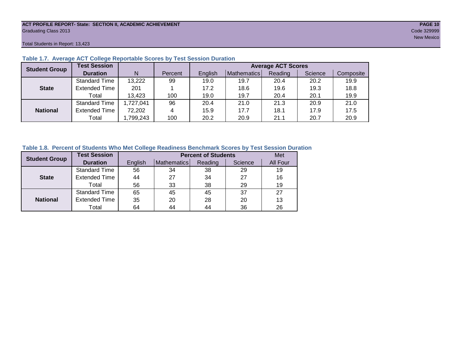#### **ACT PROFILE REPORT- State: SECTION II, ACADEMIC ACHIEVEMENT PAGE 10** Graduating Class 2013 Code 329999

Total Students in Report: 13,423

| <b>Student Group</b> | <b>Test Session</b>  |           |         | <b>Average ACT Scores</b> |             |         |         |           |  |  |  |  |  |
|----------------------|----------------------|-----------|---------|---------------------------|-------------|---------|---------|-----------|--|--|--|--|--|
|                      | <b>Duration</b>      | N         | Percent | English                   | Mathematics | Reading | Science | Composite |  |  |  |  |  |
|                      | <b>Standard Time</b> | 13,222    | 99      | 19.0                      | 19.7        | 20.4    | 20.2    | 19.9      |  |  |  |  |  |
| <b>State</b>         | <b>Extended Time</b> | 201       |         | 17.2                      | 18.6        | 19.6    | 19.3    | 18.8      |  |  |  |  |  |
|                      | Total                | 13,423    | 100     | 19.0                      | 19.7        | 20.4    | 20.1    | 19.9      |  |  |  |  |  |
|                      | <b>Standard Time</b> | 1,727,041 | 96      | 20.4                      | 21.0        | 21.3    | 20.9    | 21.0      |  |  |  |  |  |
| <b>National</b>      | <b>Extended Time</b> | 72,202    | 4       | 15.9                      | 17.7        | 18.1    | 17.9    | 17.5      |  |  |  |  |  |
|                      | Total                | ,799,243  | 100     | 20.2                      | 20.9        | 21.1    | 20.7    | 20.9      |  |  |  |  |  |

#### **Table 1.7. Average ACT College Reportable Scores by Test Session Duration**

#### **Table 1.8. Percent of Students Who Met College Readiness Benchmark Scores by Test Session Duration**

| <b>Student Group</b> | <b>Test Session</b>  |         |             | <b>Percent of Students</b> |         | Met      |
|----------------------|----------------------|---------|-------------|----------------------------|---------|----------|
|                      | <b>Duration</b>      | English | Mathematics | Reading                    | Science | All Four |
|                      | <b>Standard Time</b> | 56      | 34          | 38                         | 29      | 19       |
| <b>State</b>         | <b>Extended Time</b> | 44      | 27          | 34                         | 27      | 16       |
|                      | Total                | 56      | 33          | 38                         | 29      | 19       |
|                      | <b>Standard Time</b> | 65      | 45          | 45                         | 37      | 27       |
| <b>National</b>      | <b>Extended Time</b> | 35      | 20          | 28                         | 20      | 13       |
|                      | Total                | 64      | 44          | 44                         | 36      | 26       |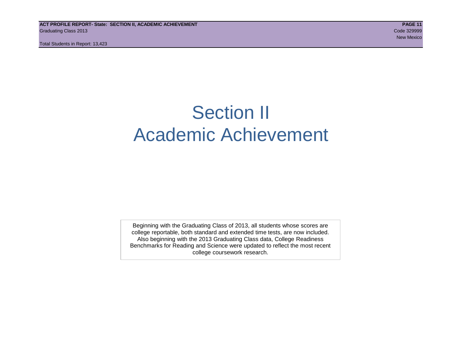**ACT PROFILE REPORT- State: SECTION II, ACADEMIC ACHIEVEMENT PAGE 11** Graduating Class 2013 Code 329999

Total Students in Report: 13,423

# Section II Academic Achievement

Beginning with the Graduating Class of 2013, all students whose scores are college reportable, both standard and extended time tests, are now included. Also beginning with the 2013 Graduating Class data, College Readiness Benchmarks for Reading and Science were updated to reflect the most recent college coursework research.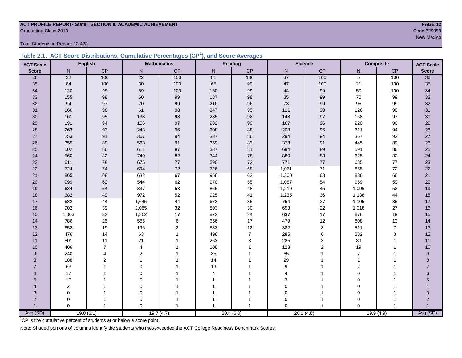# **ACT PROFILE REPORT- State: SECTION II, ACADEMIC ACHIEVEMENT PAGE 12** Code 329999<br>Code 329999<br>New Mexico

Total Students in Report: 13,423

|  | Table 2.1. ACT Score Distributions, Cumulative Percentages (CP <sup>1</sup> ), and Score Averages |  |  |  |
|--|---------------------------------------------------------------------------------------------------|--|--|--|
|  |                                                                                                   |  |  |  |

| <b>ACT Scale</b>      |                | <b>English</b> |                 | <b>Mathematics</b> |                | Reading        |                 | <b>Science</b> | <b>Composite</b> |                | <b>ACT Scale</b> |
|-----------------------|----------------|----------------|-----------------|--------------------|----------------|----------------|-----------------|----------------|------------------|----------------|------------------|
| <b>Score</b>          | N              | CP             | ${\sf N}$       | CP                 | N              | $\mathsf{CP}$  | ${\sf N}$       | $\mathsf{CP}$  | N                | $\mathsf{CP}$  | <b>Score</b>     |
| 36                    | 22             | 100            | $\overline{22}$ | 100                | 81             | 100            | $\overline{37}$ | 100            | $\overline{5}$   | 100            | $\overline{36}$  |
| 35                    | 84             | 100            | $30\,$          | 100                | 65             | 99             | 47              | 100            | 21               | 100            | 35               |
| 34                    | 120            | 99             | 59              | 100                | 150            | 99             | 44              | 99             | 50               | 100            | 34               |
| 33                    | 155            | 98             | 60              | 99                 | 187            | 98             | 35              | 99             | 70               | 99             | 33               |
| 32                    | 94             | 97             | $70\,$          | 99                 | 216            | 96             | 73              | 99             | 95               | 99             | 32               |
| 31                    | 166            | 96             | 61              | 98                 | 347            | 95             | 111             | 98             | 126              | 98             | 31               |
| 30                    | 161            | 95             | 133             | 98                 | 285            | 92             | 148             | 97             | 168              | 97             | 30 <sub>o</sub>  |
| 29                    | 191            | 94             | 156             | 97                 | 282            | 90             | 167             | 96             | 220              | 96             | 29               |
| 28                    | 263            | 93             | 248             | 96                 | 308            | 88             | 208             | 95             | 311              | 94             | 28               |
| 27                    | 253            | 91             | 367             | 94                 | 337            | 86             | 294             | 94             | 357              | 92             | 27               |
| 26                    | 359            | 89             | 568             | 91                 | 359            | 83             | 378             | 91             | 445              | 89             | 26               |
| 25                    | 502            | 86             | 611             | 87                 | 387            | 81             | 684             | 89             | 591              | 86             | 25               |
| 24                    | 560            | 82             | 740             | 82                 | 744            | 78             | 880             | 83             | 625              | 82             | 24               |
| 23                    | 611            | 78             | 675             | $77\,$             | 590            | 72             | 771             | $77\,$         | 685              | $77$           | 23               |
| 22                    | 724            | 74             | 694             | $72\,$             | 726            | 68             | 1,061           | 71             | 855              | 72             | 22               |
| 21                    | 865            | 68             | 632             | 67                 | 966            | 62             | 1,300           | 63             | 886              | 66             | 21               |
| 20                    | 999            | 62             | 544             | 62                 | 970            | 55             | 1,087           | 54             | 959              | 59             | 20               |
| 19                    | 684            | 54             | 837             | 58                 | 865            | 48             | 1,210           | 45             | 1,096            | 52             | 19               |
| 18                    | 682            | 49             | 972             | 52                 | 925            | 41             | 1,235           | 36             | 1,138            | 44             | 18               |
| 17                    | 682            | 44             | 1,645           | $44\,$             | 673            | 35             | 754             | 27             | 1,105            | 35             | $17$             |
| 16                    | 902            | 39             | 2,065           | 32                 | 803            | 30             | 653             | $22\,$         | 1,018            | 27             | 16               |
| 15                    | 1,003          | 32             | 1,362           | $17$               | 872            | 24             | 637             | 17             | 878              | 19             | 15               |
| 14                    | 786            | 25             | 585             | $\,6\,$            | 656            | 17             | 479             | 12             | 808              | 13             | 14               |
| 13                    | 652            | 19             | 196             | $\sqrt{2}$         | 683            | 12             | 382             | $\bf 8$        | 511              | $\overline{7}$ | 13               |
| 12                    | 476            | 14             | 63              | $\mathbf{1}$       | 498            | $\overline{7}$ | 285             | 6              | 282              | 3              | 12               |
| 11                    | 501            | 11             | 21              |                    | 263            | 3              | 225             | 3              | 89               | $\overline{1}$ | 11               |
| 10                    | 406            | $\overline{7}$ | 4               |                    | 108            |                | 128             | $\overline{2}$ | 19               | -1             | 10               |
| 9                     | 240            | 4              | $\overline{2}$  |                    | 35             |                | 65              |                | $\overline{7}$   |                | 9                |
| 8                     | 188            | $\overline{2}$ | 1               |                    | 14             |                | 29              |                | $\overline{1}$   |                | 8                |
| $\overline{7}$        | 63             |                | $\Omega$        |                    | 19             |                | 9               |                | 2                |                | $\overline{7}$   |
| 6                     | 17             |                | $\Omega$        |                    | $\overline{4}$ |                | $\overline{4}$  |                | 0                |                | 6                |
| 5                     | 10             |                | 0               |                    |                |                | 3               |                | 0                |                | 5                |
| $\boldsymbol{\Delta}$ | $\overline{c}$ |                | $\Omega$        |                    |                |                | $\Omega$        |                | $\Omega$         |                |                  |
| 3                     | 0              |                | $\mathbf 0$     | $\overline{1}$     |                |                | $\mathbf 0$     |                | $\Omega$         |                | 3                |
| $\overline{2}$        | 0              |                | $\mathbf 0$     |                    |                |                | 0               |                | $\Omega$         |                | $\overline{2}$   |
|                       | $\Omega$       | $\mathbf{1}$   | $\Omega$        | $\overline{1}$     |                |                | $\Omega$        |                | $\Omega$         |                |                  |
| Avg (SD)              |                | 19.0(6.1)      |                 | 19.7(4.7)          |                | 20.4(6.0)      |                 | 20.1(4.8)      | 19.9(4.9)        |                | Avg (SD)         |

<sup>1</sup>CP is the cumulative percent of students at or below a score point.

Note: Shaded portions of columns identify the students who met/exceeded the ACT College Readiness Benchmark Scores.

new Mexico and the contract of the contract of the contract of the contract of the contract of the contract of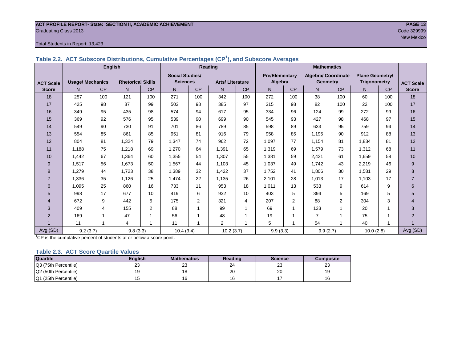#### **ACT PROFILE REPORT- State: SECTION II, ACADEMIC ACHIEVEMENT PAGE 13** Graduating Class 2013 Code 329999

#### Total Students in Report: 13,423

|                  | <b>English</b>          |                         |                          |                |                        |                | Reading                |           | <b>Mathematics</b>    |                |                     |                |                        |     |                  |
|------------------|-------------------------|-------------------------|--------------------------|----------------|------------------------|----------------|------------------------|-----------|-----------------------|----------------|---------------------|----------------|------------------------|-----|------------------|
|                  |                         |                         |                          |                | <b>Social Studies/</b> |                |                        |           | <b>Pre/Elementary</b> |                | Algebra/ Coordinate |                | <b>Plane Geometry/</b> |     |                  |
| <b>ACT Scale</b> | <b>Usage/ Mechanics</b> |                         | <b>Rhetorical Skills</b> |                | <b>Sciences</b>        |                | <b>Arts/Literature</b> |           | Algebra               |                | <b>Geometry</b>     |                | <b>Trigonometry</b>    |     | <b>ACT Scale</b> |
| <b>Score</b>     | N.                      | CP                      | N                        | <b>CP</b>      | N                      | <b>CP</b>      | N                      | <b>CP</b> | N                     | CP             | N                   | <b>CP</b>      | N                      | CP  | <b>Score</b>     |
| 18               | 257                     | 100                     | 121                      | 100            | 271                    | 100            | 342                    | 100       | 272                   | 100            | 38                  | 100            | 60                     | 100 | 18               |
| 17               | 425                     | 98                      | 87                       | 99             | 503                    | 98             | 385                    | 97        | 315                   | 98             | 82                  | 100            | 22                     | 100 | 17               |
| 16               | 349                     | 95                      | 435                      | 98             | 574                    | 94             | 617                    | 95        | 334                   | 96             | 124                 | 99             | 272                    | 99  | 16               |
| 15               | 369                     | 92                      | 576                      | 95             | 539                    | 90             | 699                    | 90        | 545                   | 93             | 427                 | 98             | 468                    | 97  | 15               |
| 14               | 549                     | 90                      | 730                      | 91             | 701                    | 86             | 789                    | 85        | 598                   | 89             | 633                 | 95             | 759                    | 94  | 14               |
| 13               | 554                     | 85                      | 861                      | 85             | 951                    | 81             | 916                    | 79        | 958                   | 85             | 1,195               | 90             | 912                    | 88  | 13               |
| 12               | 804                     | 81                      | 1,324                    | 79             | 1,347                  | 74             | 962                    | 72        | 1,097                 | 77             | 1,154               | 81             | 1,834                  | 81  | 12               |
| 11               | 1.188                   | 75                      | 1,218                    | 69             | 1,270                  | 64             | 1,391                  | 65        | 1,319                 | 69             | 1,579               | 73             | 1,312                  | 68  | 11               |
| 10               | 1.442                   | 67                      | 1,364                    | 60             | 1,355                  | 54             | 1.307                  | 55        | 1.381                 | 59             | 2.421               | 61             | 1.659                  | 58  | 10               |
| 9                | 1,517                   | 56                      | 1.673                    | 50             | 1,567                  | 44             | 1.103                  | 45        | 1,037                 | 49             | 1.742               | 43             | 2,219                  | 46  | 9                |
| 8                | 1.279                   | 44                      | 1.723                    | 38             | 1,389                  | 32             | 1.422                  | 37        | 1.752                 | 41             | 1,806               | 30             | 1,581                  | 29  | 8                |
| $\overline{7}$   | 1,336                   | 35                      | 1,126                    | 25             | 1,474                  | 22             | 1,135                  | 26        | 2,101                 | 28             | 1,013               | 17             | 1,103                  | 17  | $\overline{7}$   |
| 6                | 1,095                   | 25                      | 860                      | 16             | 733                    | 11             | 953                    | 18        | 1,011                 | 13             | 533                 | 9              | 614                    | 9   | 6                |
| 5                | 998                     | 17                      | 677                      | 10             | 419                    | 6              | 932                    | 10        | 403                   | 5              | 394                 | 5              | 169                    | 5   | 5                |
| 4                | 672                     | 9                       | 442                      | 5              | 175                    | $\overline{2}$ | 321                    | 4         | 207                   | $\overline{2}$ | 88                  | $\overline{2}$ | 304                    | 3   | $\overline{4}$   |
| 3                | 409                     | $\overline{\mathbf{4}}$ | 155                      | $\overline{2}$ | 88                     |                | 99                     | 1         | 69                    |                | 133                 | 1              | 20                     | 1   | 3                |
| $\overline{2}$   | 169                     | $\overline{ }$          | 47                       | 1              | 56                     |                | 48                     | 1         | 19                    | 4              | $\overline{7}$      | 1              | 75                     | 1   | $\overline{2}$   |
|                  | 11                      | 1                       | 4                        | 1              | 11                     |                | $\overline{2}$         | 1         | 5                     |                | 54                  | 1              | 40                     | 1   |                  |
| Avg (SD)         | 9.2(3.7)                |                         | 9.8(3.3)                 |                | 10.4(3.4)              |                | 10.2(3.7)              |           | 9.9(3.3)              |                | 9.9(2.7)            |                | 10.0(2.8)              |     | Avg (SD)         |

**Table 2.2. ACT Subscore Distributions, Cumulative Percentages (CP<sup>1</sup> ), and Subscore Averages**

<sup>1</sup>CP is the cumulative percent of students at or below a score point.

#### **Table 2.3. ACT Score Quartile Values**

| <b>Quartile</b>      | <b>Enalish</b> | <b>Mathematics</b> | Reading | <b>Science</b> | Composite |  |
|----------------------|----------------|--------------------|---------|----------------|-----------|--|
| Q3 (75th Percentile) | 23             | ົ<br>ںے            | 24      | ົ<br>د∠        | د∠        |  |
| Q2 (50th Percentile) | 19             |                    | 20      | 20             |           |  |
| Q1 (25th Percentile) |                |                    |         |                |           |  |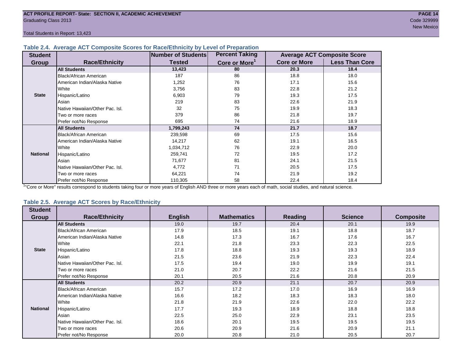Total Students in Report: 13,423

#### **Table 2.4. Average ACT Composite Scores for Race/Ethnicity by Level of Preparation**

| <b>Student</b>  |                                 | Number of Students | <b>Percent Taking</b>     |                     | <b>Average ACT Composite Score</b> |
|-----------------|---------------------------------|--------------------|---------------------------|---------------------|------------------------------------|
| <b>Group</b>    | <b>Race/Ethnicity</b>           | <b>Tested</b>      | Core or More <sup>1</sup> | <b>Core or More</b> | <b>Less Than Core</b>              |
|                 | <b>All Students</b>             | 13,423             | 80                        | 20.3                | 18.4                               |
|                 | Black/African American          | 187                | 86                        | 18.8                | 18.0                               |
|                 | American Indian/Alaska Native   | 1,252              | 76                        | 17.1                | 15.6                               |
|                 | White                           | 3,756              | 83                        | 22.8                | 21.2                               |
| <b>State</b>    | Hispanic/Latino                 | 6,903              | 79                        | 19.3                | 17.5                               |
|                 | Asian                           | 219                | 83                        | 22.6                | 21.9                               |
|                 | Native Hawaiian/Other Pac. Isl. | 32                 | 75                        | 19.9                | 18.3                               |
|                 | Two or more races               | 379                | 86                        | 21.8                | 19.7                               |
|                 | Prefer not/No Response          | 695                | 74                        | 21.6                | 18.9                               |
|                 | <b>All Students</b>             | 1,799,243          | 74                        | 21.7                | 18.7                               |
|                 | Black/African American          | 239,598            | 69                        | 17.5                | 15.6                               |
|                 | American Indian/Alaska Native   | 14,217             | 62                        | 19.1                | 16.5                               |
|                 | White                           | 1,034,712          | 76                        | 22.9                | 20.0                               |
| <b>National</b> | Hispanic/Latino                 | 259,741            | 72                        | 19.5                | 17.2                               |
|                 | Asian                           | 71,677             | 81                        | 24.1                | 21.5                               |
|                 | Native Hawaiian/Other Pac. Isl. | 4,772              | 71                        | 20.5                | 17.5                               |
|                 | Two or more races               | 64,221             | 74                        | 21.9                | 19.2                               |
|                 | Prefer not/No Response          | 110,305            | 58                        | 22.4                | 18.4                               |

<sup>1</sup>"Core or More" results correspond to students taking four or more years of English AND three or more years each of math, social studies, and natural science.

#### **Table 2.5. Average ACT Scores by Race/Ethnicity**

| <b>Student</b>  |                                 |                |                    |                |                |                  |
|-----------------|---------------------------------|----------------|--------------------|----------------|----------------|------------------|
| <b>Group</b>    | <b>Race/Ethnicity</b>           | <b>English</b> | <b>Mathematics</b> | <b>Reading</b> | <b>Science</b> | <b>Composite</b> |
|                 | <b>All Students</b>             | 19.0           | 19.7               | 20.4           | 20.1           | 19.9             |
|                 | <b>Black/African American</b>   | 17.9           | 18.5               | 19.1           | 18.8           | 18.7             |
|                 | American Indian/Alaska Native   | 14.8           | 17.3               | 16.7           | 17.6           | 16.7             |
|                 | White                           | 22.1           | 21.8               | 23.3           | 22.3           | 22.5             |
| <b>State</b>    | Hispanic/Latino                 | 17.8           | 18.8               | 19.3           | 19.3           | 18.9             |
|                 | Asian                           | 21.5           | 23.6               | 21.9           | 22.3           | 22.4             |
|                 | Native Hawaiian/Other Pac. Isl. | 17.5           | 19.4               | 19.0           | 19.9           | 19.1             |
|                 | Two or more races               | 21.0           | 20.7               | 22.2           | 21.6           | 21.5             |
|                 | Prefer not/No Response          | 20.1           | 20.5               | 21.6           | 20.8           | 20.9             |
|                 | <b>All Students</b>             | 20.2           | 20.9               | 21.1           | 20.7           | 20.9             |
|                 | Black/African American          | 15.7           | 17.2               | 17.0           | 16.9           | 16.9             |
|                 | American Indian/Alaska Native   | 16.6           | 18.2               | 18.3           | 18.3           | 18.0             |
|                 | White                           | 21.8           | 21.9               | 22.6           | 22.0           | 22.2             |
| <b>National</b> | Hispanic/Latino                 | 17.7           | 19.3               | 18.9           | 18.8           | 18.8             |
|                 | Asian                           | 22.5           | 25.0               | 22.9           | 23.1           | 23.5             |
|                 | Native Hawaiian/Other Pac. Isl. | 18.6           | 20.1               | 19.5           | 19.5           | 19.5             |
|                 | Two or more races               | 20.6           | 20.9               | 21.6           | 20.9           | 21.1             |
|                 | Prefer not/No Response          | 20.0           | 20.8               | 21.0           | 20.5           | 20.7             |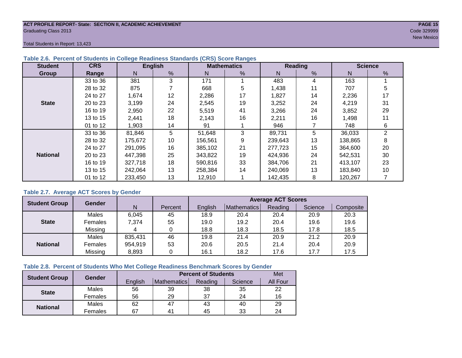#### **ACT PROFILE REPORT- State: SECTION II, ACADEMIC ACHIEVEMENT PAGE 15** Graduating Class 2013 Code 329999

new Mexico and the contract of the contract of the contract of the contract of the contract of the contract of

Total Students in Report: 13,423

| <b>Student</b>  | <b>CRS</b> |         | <b>English</b> |         | <b>Mathematics</b> |         | <b>Reading</b> |         | <b>Science</b> |
|-----------------|------------|---------|----------------|---------|--------------------|---------|----------------|---------|----------------|
| Group           | Range      | N.      | %              | N       | %                  | N       | %              | N       | %              |
|                 | 33 to 36   | 381     | 3              | 171     |                    | 483     | 4              | 163     |                |
|                 | 28 to 32   | 875     |                | 668     | 5                  | 1,438   | 11             | 707     | 5              |
|                 | 24 to 27   | 1,674   | 12             | 2,286   | 17                 | 1,827   | 14             | 2,236   | 17             |
| <b>State</b>    | 20 to 23   | 3,199   | 24             | 2,545   | 19                 | 3,252   | 24             | 4,219   | 31             |
|                 | 16 to 19   | 2,950   | 22             | 5,519   | 41                 | 3,266   | 24             | 3,852   | 29             |
|                 | 13 to 15   | 2,441   | 18             | 2,143   | 16                 | 2,211   | 16             | 1,498   | 11             |
|                 | 01 to 12   | 1,903   | 14             | 91      |                    | 946     |                | 748     | 6              |
|                 | 33 to 36   | 81,846  | 5              | 51,648  | 3                  | 89,731  | 5              | 36,033  | 2              |
|                 | 28 to 32   | 175,672 | 10             | 156,561 | 9                  | 239,643 | 13             | 138,865 | 8              |
|                 | 24 to 27   | 291.095 | 16             | 385.102 | 21                 | 277,723 | 15             | 364,600 | 20             |
| <b>National</b> | 20 to 23   | 447,398 | 25             | 343,822 | 19                 | 424,936 | 24             | 542,531 | 30             |
|                 | 16 to 19   | 327,718 | 18             | 590.816 | 33                 | 384,706 | 21             | 413,107 | 23             |
|                 | 13 to 15   | 242,064 | 13             | 258.384 | 14                 | 240,069 | 13             | 183,840 | 10             |
|                 | 01 to 12   | 233,450 | 13             | 12,910  |                    | 142,435 | 8              | 120,267 |                |

#### **Table 2.6. Percent of Students in College Readiness Standards (CRS) Score Ranges**

#### **Table 2.7. Average ACT Scores by Gender**

| <b>Student Group</b> | <b>Gender</b> |         | <b>Average ACT Scores</b> |         |             |         |         |           |
|----------------------|---------------|---------|---------------------------|---------|-------------|---------|---------|-----------|
|                      |               | N       | Percent                   | Enalish | Mathematics | Reading | Science | Composite |
|                      | Males         | 6,045   | 45                        | 18.9    | 20.4        | 20.4    | 20.9    | 20.3      |
| <b>State</b>         | Females       | 7,374   | 55                        | 19.0    | 19.2        | 20.4    | 19.6    | 19.6      |
|                      | Missing       |         |                           | 18.8    | 18.3        | 18.5    | 17.8    | 18.5      |
|                      | Males         | 835,431 | 46                        | 19.8    | 21.4        | 20.9    | 21.2    | 20.9      |
| <b>National</b>      | Females       | 954,919 | 53                        | 20.6    | 20.5        | 21.4    | 20.4    | 20.9      |
|                      | Missing       | 8,893   | 0                         | 16.1    | 18.2        | 17.6    | 17.7    | 17.5      |

#### **Table 2.8. Percent of Students Who Met College Readiness Benchmark Scores by Gender**

| <b>Student Group</b> | <b>Gender</b> |         |                | <b>Percent of Students</b> |         | Met      |
|----------------------|---------------|---------|----------------|----------------------------|---------|----------|
|                      |               | English | Mathematics    | Reading                    | Science | All Four |
| <b>State</b>         | Males         | 56      | 39             | 38                         | 35      | 22       |
|                      | Females       | 56      | 29             | 37                         | 24      | 16       |
|                      | Males         | 62      | 47             | 43                         | 40      | 29       |
| <b>National</b>      | Females       | 67      | 4 <sup>1</sup> | 45                         | 33      | 24       |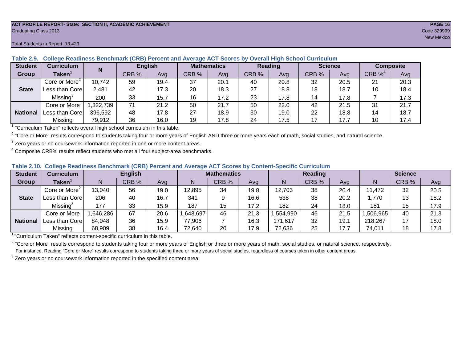#### **ACT PROFILE REPORT- State: SECTION II, ACADEMIC ACHIEVEMENT PAGE 16** Graduating Class 2013 Code 329999

| <b>Student</b>  | <b>Curriculum</b>         | N         | <b>English</b> |      | <b>Mathematics</b> |      | Reading |      | <b>Science</b> |      | <b>Composite</b> |      |
|-----------------|---------------------------|-----------|----------------|------|--------------------|------|---------|------|----------------|------|------------------|------|
| Group           | $\mathsf{Taken}^{\hat{}}$ |           | CRB %          | Avg  | CRB %              | Ava  | CRB %   | Avg  | CRB %          | Ava  | CRB $\%^4$       | Avg  |
|                 | Core or More <sup>2</sup> | 10,742    | 59             | 19.4 | 37                 | 20.1 | 40      | 20.8 | 32             | 20.5 | 21               | 20.3 |
| <b>State</b>    | Less than Core            | 2,481     | 42             | 17.3 | 20                 | 18.3 | 27      | 18.8 | 18             | 18.7 | 10               | 18.4 |
|                 | Missing <sup>3</sup>      | 200       | 33             | 15.7 | 16                 | 17.2 | 23      | 17.8 | 14             | 17.8 |                  | 17.3 |
|                 | Core or More              | 1,322,739 | 71             | 21.2 | 50                 | 21.7 | 50      | 22.0 | 42             | 21.5 | 31               | 21.7 |
| <b>National</b> | Less than Corel           | 396,592   | 48             | 17.8 | 27                 | 18.9 | 30      | 19.0 | 22             | 18.8 | 14               | 18.7 |
|                 | Missing                   | 79,912    | 36             | 16.0 | 19                 | 17.8 | 24      | 17.5 |                | 17.7 | 10               | 17.4 |

**Table 2.9. College Readiness Benchmark (CRB) Percent and Average ACT Scores by Overall High School Curriculum**

1 "Curriculum Taken" reflects overall high school curriculum in this table.

 $^2$  "Core or More" results correspond to students taking four or more years of English AND three or more years each of math, social studies, and natural science.

 $3$  Zero years or no coursework information reported in one or more content areas.

 $4$  Composite CRB% results reflect students who met all four subject-area benchmarks.

| Table 2.10. College Readiness Benchmark (CRB) Percent and Average ACT Scores by Content-Specific Curriculum |
|-------------------------------------------------------------------------------------------------------------|
|-------------------------------------------------------------------------------------------------------------|

| <b>Student</b>  | Curriculum                    |          | <b>English</b> |      |          | <b>Mathematics</b> | <b>Reading</b> |          |       |      | <b>Science</b> |       |      |  |
|-----------------|-------------------------------|----------|----------------|------|----------|--------------------|----------------|----------|-------|------|----------------|-------|------|--|
| Group           | $\mathsf{Taken}^{\mathsf{T}}$ |          | CRB %          | Avg  | N        | CRB %              | Avg            | N        | CRB % | Avg  | N              | CRB % | Avg  |  |
|                 | Core or More <sup>2</sup>     | 13,040   | 56             | 19.0 | 12,895   | 34                 | 19.8           | 12,703   | 38    | 20.4 | 11,472         | 32    | 20.5 |  |
| <b>State</b>    | Less than Core                | 206      | 40             | 16.7 | 341      |                    | 16.6           | 538      | 38    | 20.2 | 770.ا          | 13    | 18.2 |  |
|                 | Missing <sup>3</sup>          | 177      | 33             | 15.9 | 187      | 15                 | 17.2           | 182      | 24    | 18.0 | 181            | 15    | 17.9 |  |
|                 | Core or More                  | .646,286 | 67             | 20.6 | ,648,697 | 46                 | 21.3           | ,554,990 | 46    | 21.5 | ,506,965       | 40    | 21.3 |  |
| <b>National</b> | Less than Core                | 84,048   | 36             | 15.9 | 77,906   |                    | 16.3           | 171,617  | 32    | 19.7 | 218,267        |       | 18.0 |  |
|                 | Missing                       | 68,909   | 38             | 16.4 | 72,640   | 20                 | 17.9           | 72,636   | 25    | 17.7 | 74,011         | 18    | 17.8 |  |

<sup>1</sup>"Curriculum Taken" reflects content-specific curriculum in this table.

<sup>2</sup> "Core or More" results correspond to students taking four or more years of English or three or more years of math, social studies, or natural science, respectively. For instance, Reading "Core or More" results correspond to students taking three or more years of social studies, regardless of courses taken in other content areas.

 $3$  Zero years or no coursework information reported in the specified content area.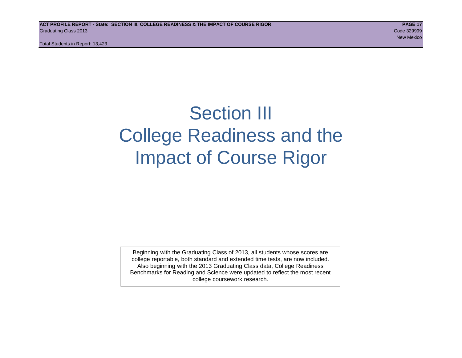Total Students in Report: 13,423

# Section III College Readiness and the Impact of Course Rigor

Beginning with the Graduating Class of 2013, all students whose scores are college reportable, both standard and extended time tests, are now included. Also beginning with the 2013 Graduating Class data, College Readiness Benchmarks for Reading and Science were updated to reflect the most recent college coursework research.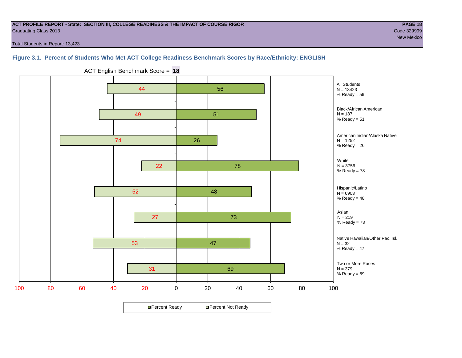#### **ACT PROFILE REPORT - State: SECTION III, COLLEGE READINESS & THE IMPACT OF COURSE RIGOR PAGE 18** Graduating Class 2013 Code 329999

new Mexico and the contract of the contract of the contract of the contract of the contract of the contract of

Total Students in Report: 13,423

### **Figure 3.1. Percent of Students Who Met ACT College Readiness Benchmark Scores by Race/Ethnicity: ENGLISH**



ACT English Benchmark Score = **18**

**□ Percent Ready DPercent Not Ready**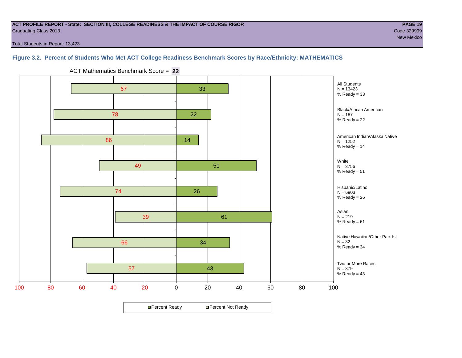#### **ACT PROFILE REPORT - State: SECTION III, COLLEGE READINESS & THE IMPACT OF COURSE RIGOR PAGE 19** Graduating Class 2013 Code 329999

new Mexico and the contract of the contract of the contract of the contract of the contract of the contract of

Total Students in Report: 13,423

### **Figure 3.2. Percent of Students Who Met ACT College Readiness Benchmark Scores by Race/Ethnicity: MATHEMATICS**



ACT Mathematics Benchmark Score = **22**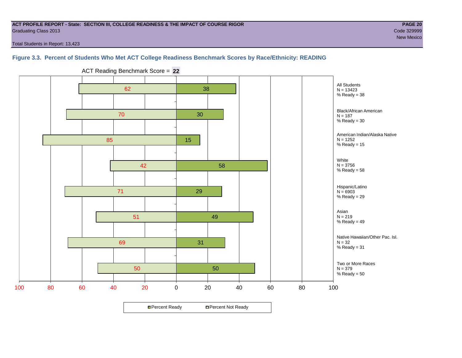#### **ACT PROFILE REPORT - State: SECTION III, COLLEGE READINESS & THE IMPACT OF COURSE RIGOR PAGE 20** Graduating Class 2013 Code 329999

new Mexico and the contract of the contract of the contract of the contract of the contract of the contract of

Total Students in Report: 13,423

#### **Figure 3.3. Percent of Students Who Met ACT College Readiness Benchmark Scores by Race/Ethnicity: READING**



ACT Reading Benchmark Score = **22**

**□ Percent Ready DPercent Not Ready**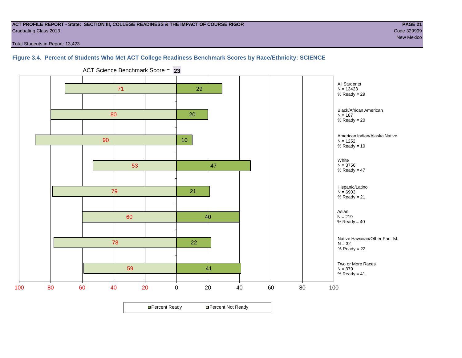#### **ACT PROFILE REPORT - State: SECTION III, COLLEGE READINESS & THE IMPACT OF COURSE RIGOR PAGE 21** Graduating Class 2013 Code 329999

new Mexico and the contract of the contract of the contract of the contract of the contract of the contract of

Total Students in Report: 13,423

#### **Figure 3.4. Percent of Students Who Met ACT College Readiness Benchmark Scores by Race/Ethnicity: SCIENCE**



ACT Science Benchmark Score = **23**

**□ Percent Ready DPercent Not Ready**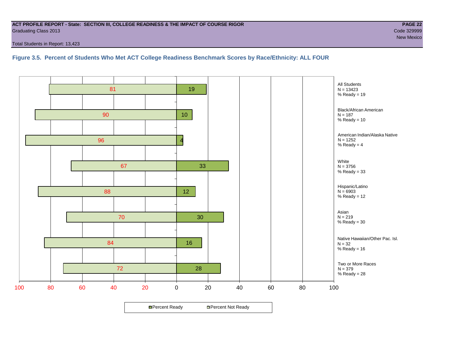#### **ACT PROFILE REPORT - State: SECTION III, COLLEGE READINESS & THE IMPACT OF COURSE RIGOR PAGE 22** Graduating Class 2013 Code 329999

Total Students in Report: 13,423

**Figure 3.5. Percent of Students Who Met ACT College Readiness Benchmark Scores by Race/Ethnicity: ALL FOUR**

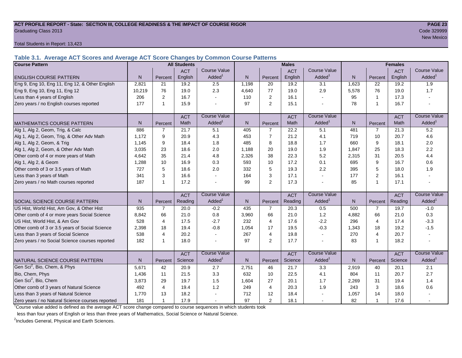#### **ACT PROFILE REPORT - State: SECTION III, COLLEGE READINESS & THE IMPACT OF COURSE RIGOR PAGE 23** Graduating Class 2013 Code 329999

Total Students in Report: 13,423

**Table 3.1. Average ACT Scores and Average ACT Score Changes by Common Course Patterns**

| <b>Course Pattern</b>                            |                |                | <b>All Students</b> |                     | <b>Males</b> |                |            |                       |                | <b>Females</b> |            |                        |
|--------------------------------------------------|----------------|----------------|---------------------|---------------------|--------------|----------------|------------|-----------------------|----------------|----------------|------------|------------------------|
|                                                  |                |                | <b>ACT</b>          | <b>Course Value</b> |              |                | <b>ACT</b> | <b>Course Value</b>   |                |                | <b>ACT</b> | <b>Course Value</b>    |
| <b>ENGLISH COURSE PATTERN</b>                    | N.             | Percent        | English             | Added <sup>1</sup>  | N            | Percent        | English    | Added <sup>1</sup>    | $\overline{N}$ | Percent        | English    | A d d e d <sup>1</sup> |
| Eng 9, Eng 10, Eng 11, Eng 12, & Other English   | 2,821          | 21             | 19.2                | 2.5                 | 1,198        | 20             | 19.2       | 3.1                   | 1,623          | 22             | 19.2       | 1.9                    |
| Eng 9, Eng 10, Eng 11, Eng 12                    | 10,219         | 76             | 19.0                | 2.3                 | 4,640        | 77             | 19.0       | 2.9                   | 5,578          | 76             | 19.0       | 1.7                    |
| Less than 4 years of English                     | 206            | $\overline{2}$ | 16.7                |                     | 110          | 2              | 16.1       | $\sim$                | 95             | $\mathbf{1}$   | 17.3       |                        |
| Zero years / no English courses reported         | 177            | $\mathbf 1$    | 15.9                |                     | 97           | 2              | 15.1       |                       | 78             | $\mathbf{1}$   | 16.7       |                        |
|                                                  |                |                | <b>ACT</b>          | <b>Course Value</b> |              |                | <b>ACT</b> | <b>Course Value</b>   |                |                | <b>ACT</b> | <b>Course Value</b>    |
| <b>MATHEMATICS COURSE PATTERN</b>                | N <sub>1</sub> | Percent        | Math                | Added               | $\mathsf{N}$ | Percent        | Math       | $A dded$ <sup>1</sup> | $\mathsf{N}$   | Percent        | Math       | A d d e d <sup>1</sup> |
| Alg 1, Alg 2, Geom, Trig, & Calc                 | 886            | $\overline{7}$ | 21.7                | 5.1                 | 405          | $\overline{7}$ | 22.2       | 5.1                   | 481            | $\overline{7}$ | 21.3       | 5.2                    |
| Alg 1, Alg 2, Geom, Trig, & Other Adv Math       | 1.172          | 9              | 20.9                | 4.3                 | 453          | $\overline{7}$ | 21.2       | 4.1                   | 719            | 10             | 20.7       | 4.6                    |
| Alg 1, Alg 2, Geom, & Trig                       | 1.145          | 9              | 18.4                | 1.8                 | 485          | 8              | 18.8       | 1.7                   | 660            | 9              | 18.1       | 2.0                    |
| Alg 1, Alg 2, Geom, & Other Adv Math             | 3,035          | 23             | 18.6                | 2.0                 | 1,188        | 20             | 19.0       | 1.9                   | 1,847          | 25             | 18.3       | 2.2                    |
| Other comb of 4 or more years of Math            | 4,642          | 35             | 21.4                | 4.8                 | 2,326        | 38             | 22.3       | 5.2                   | 2,315          | 31             | 20.5       | 4.4                    |
| Alg 1, Alg 2, & Geom                             | 1,288          | 10             | 16.9                | 0.3                 | 593          | 10             | 17.2       | 0.1                   | 695            | 9              | 16.7       | 0.6                    |
| Other comb of 3 or 3.5 years of Math             | 727            | 5              | 18.6                | 2.0                 | 332          | 5              | 19.3       | 2.2                   | 395            | 5              | 18.0       | 1.9                    |
| Less than 3 years of Math                        | 341            | 3              | 16.6                |                     | 164          | $\mathbf{3}$   | 17.1       | $\blacksquare$        | 177            | $\overline{2}$ | 16.1       |                        |
| Zero years / no Math courses reported            | 187            | $\mathbf 1$    | 17.2                |                     | 99           | 2              | 17.3       | $\blacksquare$        | 85             | 1              | 17.1       |                        |
|                                                  |                |                | <b>ACT</b>          | <b>Course Value</b> |              |                | <b>ACT</b> | <b>Course Value</b>   |                |                | <b>ACT</b> | <b>Course Value</b>    |
| <b>SOCIAL SCIENCE COURSE PATTERN</b>             | N <sub>1</sub> | Percent        | Reading             | Added               | $\mathsf{N}$ | Percent        | Reading    | Added <sup>1</sup>    | N              | Percent        | Reading    | $A dded^1$             |
| US Hist, World Hist, Am Gov, & Other Hist        | 935            | $\overline{7}$ | 20.0                | $-0.2$              | 435          | $\overline{7}$ | 20.3       | 0.5                   | 500            | $\overline{7}$ | 19.7       | $-1.0$                 |
| Other comb of 4 or more years Social Science     | 8.842          | 66             | 21.0                | 0.8                 | 3,960        | 66             | 21.0       | 1.2                   | 4,882          | 66             | 21.0       | 0.3                    |
| US Hist, World Hist, & Am Gov                    | 528            | $\overline{4}$ | 17.5                | $-2.7$              | 232          | $\overline{4}$ | 17.6       | $-2.2$                | 296            | $\overline{4}$ | 17.4       | $-3.3$                 |
| Other comb of 3 or 3.5 years of Social Science   | 2,398          | 18             | 19.4                | $-0.8$              | 1,054        | 17             | 19.5       | $-0.3$                | 1,343          | 18             | 19.2       | $-1.5$                 |
| Less than 3 years of Social Science              | 538            | $\overline{4}$ | 20.2                |                     | 267          | $\overline{4}$ | 19.8       | $\sim$                | 270            | 4              | 20.7       |                        |
| Zero years / no Social Science courses reported  | 182            | 1              | 18.0                |                     | 97           | 2              | 17.7       | $\sim$                | 83             | 1              | 18.2       |                        |
|                                                  |                |                | <b>ACT</b>          | <b>Course Value</b> |              |                | <b>ACT</b> | <b>Course Value</b>   |                |                | <b>ACT</b> | <b>Course Value</b>    |
| NATURAL SCIENCE COURSE PATTERN                   | N <sub>1</sub> | Percent        | Science             | Added               | $\mathsf{N}$ | Percent        | Science    | Added <sup>1</sup>    | $\mathsf{N}$   | Percent        | Science    | A d d e d <sup>1</sup> |
| Gen Sci <sup>2</sup> , Bio, Chem, & Phys         | 5,671          | 42             | 20.9                | 2.7                 | 2,751        | 46             | 21.7       | 3.3                   | 2,919          | 40             | 20.1       | 2.1                    |
| Bio, Chem, Phys                                  | 1,436          | 11             | 21.5                | 3.3                 | 632          | 10             | 22.5       | 4.1                   | 804            | 11             | 20.7       | 2.7                    |
| Gen Sci <sup>2</sup> , Bio, Chem                 | 3,873          | 29             | 19.7                | 1.5                 | 1,604        | 27             | 20.1       | 1.7                   | 2,269          | 31             | 19.4       | 1.4                    |
| Other comb of 3 years of Natural Science         | 492            | $\overline{4}$ | 19.4                | 1.2                 | 249          | $\overline{4}$ | 20.3       | 1.9                   | 243            | 3              | 18.6       | 0.6                    |
| Less than 3 years of Natural Science             | 1,770          | 13             | 18.2                |                     | 712          | 12             | 18.4       |                       | 1,057          | 14             | 18.0       |                        |
| Zero years / no Natural Science courses reported | 181            | -1             | 17.9                |                     | 97           | $\overline{2}$ | 18.1       | $\sim$                | 82             | 1              | 17.6       |                        |

<sup>1</sup>Course value added is defined as the average ACT score change compared to course sequences in which students took

less than four years of English or less than three years of Mathematics, Social Science or Natural Science.

<sup>2</sup>Includes General, Physical and Earth Sciences.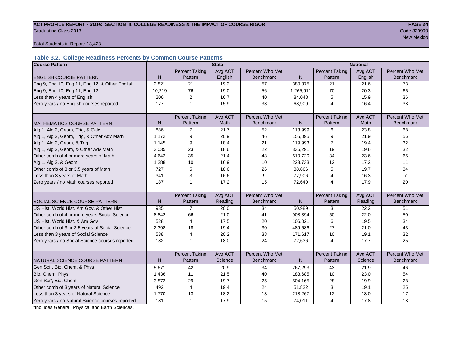#### ACT PROFILE REPORT - State: SECTION III, COLLEGE READINESS & THE IMPACT OF COURSE RIGOR **PAGE 24 Graduating Class 2013** Code 329999 Code 329999

New Mexico and the contract of the contract of the contract of the contract of the contract of the contract of

#### Total Students in Report: 13,423

## **Table 3.2. College Readiness Percents by Common Course Patterns**

| <b>Course Pattern</b>                            |              |                       | <b>State</b> |                  | <b>National</b> |                       |         |                  |  |  |
|--------------------------------------------------|--------------|-----------------------|--------------|------------------|-----------------|-----------------------|---------|------------------|--|--|
|                                                  |              | <b>Percent Taking</b> | Avg ACT      | Percent Who Met  |                 | <b>Percent Taking</b> | Avg ACT | Percent Who Met  |  |  |
| <b>ENGLISH COURSE PATTERN</b>                    | $\mathsf{N}$ | Pattern               | English      | <b>Benchmark</b> | $\mathsf{N}$    | Pattern               | English | <b>Benchmark</b> |  |  |
| Eng 9, Eng 10, Eng 11, Eng 12, & Other English   | 2,821        | 21                    | 19.2         | 57               | 380,375         | 21                    | 21.6    | 73               |  |  |
| Eng 9, Eng 10, Eng 11, Eng 12                    | 10,219       | 76                    | 19.0         | 56               | 1,265,911       | 70                    | 20.3    | 65               |  |  |
| Less than 4 years of English                     | 206          | 2                     | 16.7         | 40               | 84,048          | 5                     | 15.9    | 36               |  |  |
| Zero years / no English courses reported         | 177          | 1                     | 15.9         | 33               | 68,909          | 4                     | 16.4    | 38               |  |  |
|                                                  |              |                       |              |                  |                 |                       |         |                  |  |  |
|                                                  |              | <b>Percent Taking</b> | Avg ACT      | Percent Who Met  |                 | <b>Percent Taking</b> | Avg ACT | Percent Who Met  |  |  |
| IMATHEMATICS COURSE PATTERN                      | N            | Pattern               | Math         | <b>Benchmark</b> | ${\sf N}$       | Pattern               | Math    | Benchmark        |  |  |
| Alg 1, Alg 2, Geom, Trig, & Calc                 | 886          |                       | 21.7         | 52               | 113,999         | 6                     | 23.8    | 68               |  |  |
| Alg 1, Alg 2, Geom, Trig, & Other Adv Math       | 1,172        | 9                     | 20.9         | 46               | 155,095         | 9                     | 21.9    | 56               |  |  |
| Alg 1, Alg 2, Geom, & Trig                       | 1,145        | 9                     | 18.4         | 21               | 119,993         | 7                     | 19.4    | 32               |  |  |
| Alg 1, Alg 2, Geom, & Other Adv Math             | 3,035        | 23                    | 18.6         | 22               | 336,291         | 19                    | 19.6    | 32               |  |  |
| Other comb of 4 or more years of Math            | 4,642        | 35                    | 21.4         | 48               | 610,720         | 34                    | 23.6    | 65               |  |  |
| Alg 1, Alg 2, & Geom                             | 1,288        | 10                    | 16.9         | 10               | 223,733         | 12                    | 17.2    | 11               |  |  |
| Other comb of 3 or 3.5 years of Math             | 727          | 5                     | 18.6         | 26               | 88,866          | 5                     | 19.7    | 34               |  |  |
| Less than 3 years of Math                        | 341          | 3                     | 16.6         | 9                | 77,906          | 4                     | 16.3    | $\overline{7}$   |  |  |
| Zero years / no Math courses reported            | 187          |                       | 17.2         | 15               | 72,640          | 4                     | 17.9    | 20               |  |  |
|                                                  |              |                       |              |                  |                 |                       |         |                  |  |  |
|                                                  |              | <b>Percent Taking</b> | Avg ACT      | Percent Who Met  |                 | <b>Percent Taking</b> | Avg ACT | Percent Who Met  |  |  |
| <b>SOCIAL SCIENCE COURSE PATTERN</b>             | N            | Pattern               | Reading      | <b>Benchmark</b> | N               | Pattern               | Reading | <b>Benchmark</b> |  |  |
| US Hist, World Hist, Am Gov, & Other Hist        | 935          | $\overline{7}$        | 20.0         | 34               | 50,989          | 3                     | 22.2    | 51               |  |  |
| Other comb of 4 or more years Social Science     | 8,842        | 66                    | 21.0         | 41               | 908,394         | 50                    | 22.0    | 50               |  |  |
| US Hist, World Hist, & Am Gov                    | 528          | 4                     | 17.5         | 20               | 106,021         | 6                     | 19.5    | 34               |  |  |
| Other comb of 3 or 3.5 years of Social Science   | 2,398        | 18                    | 19.4         | 30               | 489,586         | 27                    | 21.0    | 43               |  |  |
| Less than 3 years of Social Science              | 538          | 4                     | 20.2         | 38               | 171,617         | 10                    | 19.1    | 32               |  |  |
| Zero years / no Social Science courses reported  | 182          | 1                     | 18.0         | 24               | 72,636          | $\overline{4}$        | 17.7    | 25               |  |  |
|                                                  |              |                       |              |                  |                 |                       |         |                  |  |  |
|                                                  |              | <b>Percent Taking</b> | Avg ACT      | Percent Who Met  |                 | <b>Percent Taking</b> | Avg ACT | Percent Who Met  |  |  |
| NATURAL SCIENCE COURSE PATTERN                   | N            | Pattern               | Science      | <b>Benchmark</b> | N               | Pattern               | Science | <b>Benchmark</b> |  |  |
| Gen Sci <sup>1</sup> , Bio, Chem, & Phys         | 5,671        | 42                    | 20.9         | 34               | 767,293         | 43                    | 21.9    | 46               |  |  |
| Bio, Chem, Phys                                  | 1,436        | 11                    | 21.5         | 40               | 183,685         | 10                    | 23.0    | 54               |  |  |
| Gen Sci <sup>1</sup> , Bio, Chem                 | 3,873        | 29                    | 19.7         | 25               | 504,165         | 28                    | 19.9    | 28               |  |  |
| Other comb of 3 years of Natural Science         | 492          | 4                     | 19.4         | 24               | 51,822          | 3                     | 19.1    | 25               |  |  |
| Less than 3 years of Natural Science             | 1,770        | 13                    | 18.2         | 13               | 218,267         | 12                    | 18.0    | 17               |  |  |
| Zero years / no Natural Science courses reported | 181          | 1                     | 17.9         | 15               | 74,011          | 4                     | 17.8    | 18               |  |  |

<sup>1</sup>Includes General, Physical and Earth Sciences.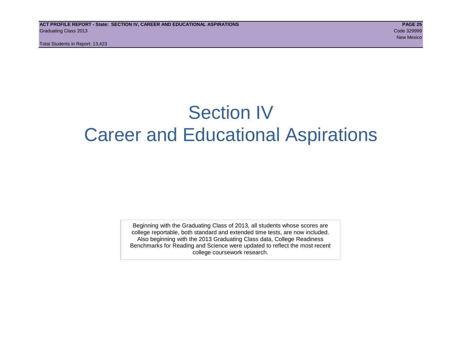Total Students in Report: 13,423

# Section IV Career and Educational Aspirations

Beginning with the Graduating Class of 2013, all students whose scores are college reportable, both standard and extended time tests, are now included. Also beginning with the 2013 Graduating Class data, College Readiness Benchmarks for Reading and Science were updated to reflect the most recent college coursework research.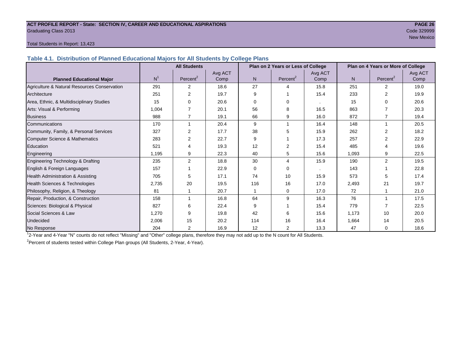#### **ACT PROFILE REPORT - State: SECTION IV, CAREER AND EDUCATIONAL ASPIRATIONS PAGE 26** Graduating Class 2013 Code 329999

# New Mexico and the contract of the contract of the contract of the contract of the contract of the contract of

#### Total Students in Report: 13,423

**Table 4.1. Distribution of Planned Educational Majors for All Students by College Plans**

|                                              |                | <b>All Students</b>  |                 |                | Plan on 2 Years or Less of College |                 |       | Plan on 4 Years or More of College |                 |
|----------------------------------------------|----------------|----------------------|-----------------|----------------|------------------------------------|-----------------|-------|------------------------------------|-----------------|
| <b>Planned Educational Major</b>             | N <sup>1</sup> | Percent <sup>2</sup> | Avg ACT<br>Comp | N <sub>1</sub> | Percent <sup>2</sup>               | Avg ACT<br>Comp | N.    | Percent <sup>2</sup>               | Avg ACT<br>Comp |
| Agriculture & Natural Resources Conservation | 291            | 2                    | 18.6            | 27             | $\boldsymbol{\Lambda}$             | 15.8            | 251   | $\overline{2}$                     | 19.0            |
| Architecture                                 | 251            | 2                    | 19.7            | 9              |                                    | 15.4            | 233   | 2                                  | 19.9            |
| Area, Ethnic, & Multidisciplinary Studies    | 15             | $\Omega$             | 20.6            | 0              | $\Omega$                           |                 | 15    | 0                                  | 20.6            |
| Arts: Visual & Performing                    | 1,004          |                      | 20.1            | 56             | 8                                  | 16.5            | 863   |                                    | 20.3            |
| <b>Business</b>                              | 988            |                      | 19.1            | 66             | 9                                  | 16.0            | 872   |                                    | 19.4            |
| Communications                               | 170            |                      | 20.4            | 9              |                                    | 16.4            | 148   | 1                                  | 20.5            |
| Community, Family, & Personal Services       | 327            | 2                    | 17.7            | 38             | 5                                  | 15.9            | 262   | 2                                  | 18.2            |
| <b>Computer Science &amp; Mathematics</b>    | 283            | $\overline{2}$       | 22.7            | 9              |                                    | 17.3            | 257   |                                    | 22.9            |
| Education                                    | 521            | 4                    | 19.3            | 12             | 2                                  | 15.4            | 485   |                                    | 19.6            |
| Engineering                                  | 1,195          | 9                    | 22.3            | 40             | 5                                  | 15.6            | 1,093 | 9                                  | 22.5            |
| Engineering Technology & Drafting            | 235            | 2                    | 18.8            | 30             | 4                                  | 15.9            | 190   | $\overline{2}$                     | 19.5            |
| English & Foreign Languages                  | 157            |                      | 22.9            | 0              | $\Omega$                           |                 | 143   |                                    | 22.8            |
| Health Administration & Assisting            | 705            | 5                    | 17.1            | 74             | 10                                 | 15.9            | 573   | 5                                  | 17.4            |
| Health Sciences & Technologies               | 2,735          | 20                   | 19.5            | 116            | 16                                 | 17.0            | 2,493 | 21                                 | 19.7            |
| Philosophy, Religion, & Theology             | 81             |                      | 20.7            |                | $\Omega$                           | 17.0            | 72    |                                    | 21.0            |
| Repair, Production, & Construction           | 158            |                      | 16.8            | 64             | 9                                  | 16.3            | 76    |                                    | 17.5            |
| Sciences: Biological & Physical              | 827            | 6                    | 22.4            | 9              |                                    | 15.4            | 779   |                                    | 22.5            |
| Social Sciences & Law                        | 1,270          | 9                    | 19.8            | 42             | 6                                  | 15.6            | 1,173 | 10                                 | 20.0            |
| Undecided                                    | 2,006          | 15                   | 20.2            | 114            | 16                                 | 16.4            | 1,664 | 14                                 | 20.5            |
| No Response                                  | 204            | $\overline{2}$       | 16.9            | 12             | 2                                  | 13.3            | 47    | 0                                  | 18.6            |

1 2-Year and 4-Year "N" counts do not reflect "Missing" and "Other" college plans, therefore they may not add up to the N count for All Students.

<sup>2</sup> Percent of students tested within College Plan groups (All Students, 2-Year, 4-Year).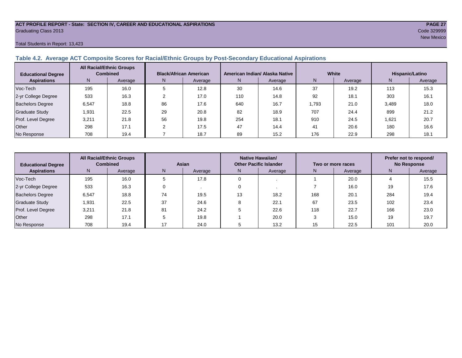#### **ACT PROFILE REPORT - State: SECTION IV, CAREER AND EDUCATIONAL ASPIRATIONS PAGE 27** Graduating Class 2013 Code 329999

Total Students in Report: 13,423

#### **Table 4.2. Average ACT Composite Scores for Racial/Ethnic Groups by Post-Secondary Educational Aspirations**

| <b>Educational Degree</b> | <b>All Racial/Ethnic Groups</b><br><b>Combined</b> |         | <b>Black/African American</b> |         |     | American Indian/ Alaska Native |       | White   | Hispanic/Latino |         |  |
|---------------------------|----------------------------------------------------|---------|-------------------------------|---------|-----|--------------------------------|-------|---------|-----------------|---------|--|
| <b>Aspirations</b>        | N.                                                 | Average | N                             | Average | N   | Average                        | Ν     | Average | N               | Average |  |
| Voc-Tech                  | 195                                                | 16.0    |                               | 12.8    | 30  | 14.6                           | 37    | 19.2    | 113             | 15.3    |  |
| 2-yr College Degree       | 533                                                | 16.3    |                               | 17.0    | 110 | 14.8                           | 92    | 18.1    | 303             | 16.1    |  |
| <b>Bachelors Degree</b>   | 6,547                                              | 18.8    | 86                            | 17.6    | 640 | 16.7                           | 1.793 | 21.0    | 3,489           | 18.0    |  |
| <b>Graduate Study</b>     | 1,931                                              | 22.5    | 29                            | 20.8    | 82  | 18.9                           | 707   | 24.4    | 899             | 21.2    |  |
| Prof. Level Degree        | 3,211                                              | 21.8    | 56                            | 19.8    | 254 | 18.1                           | 910   | 24.5    | 1.621           | 20.7    |  |
| Other                     | 298                                                | 17.1    |                               | 17.5    | 47  | 14.4                           | 41    | 20.6    | 180             | 16.6    |  |
| No Response               | 708                                                | 19.4    |                               | 18.7    | 89  | 15.2                           | 176   | 22.9    | 298             | 18.1    |  |

| <b>Educational Degree</b> | <b>All Racial/Ethnic Groups</b><br><b>Combined</b> |         | Asian |         |    | Native Hawaiian/<br><b>Other Pacific Islander</b> |     | Two or more races | Prefer not to respond/<br><b>No Response</b> |         |
|---------------------------|----------------------------------------------------|---------|-------|---------|----|---------------------------------------------------|-----|-------------------|----------------------------------------------|---------|
| <b>Aspirations</b>        | N                                                  | Average | N     | Average | N  | Average                                           |     | Average           | N                                            | Average |
| Voc-Tech                  | 195                                                | 16.0    |       | 17.8    |    |                                                   |     | 20.0              |                                              | 15.5    |
| 2-yr College Degree       | 533                                                | 16.3    |       |         |    |                                                   |     | 16.0              | 19                                           | 17.6    |
| <b>Bachelors Degree</b>   | 6,547                                              | 18.8    | 74    | 19.5    | 13 | 18.2                                              | 168 | 20.1              | 284                                          | 19.4    |
| <b>Graduate Study</b>     | 1,931                                              | 22.5    | 37    | 24.6    |    | 22.1                                              | 67  | 23.5              | 102                                          | 23.4    |
| Prof. Level Degree        | 3,211                                              | 21.8    | 81    | 24.2    |    | 22.6                                              | 118 | 22.7              | 166                                          | 23.0    |
| Other                     | 298                                                | 17.1    |       | 19.8    |    | 20.0                                              |     | 15.0              | 19                                           | 19.7    |
| No Response               | 708                                                | 19.4    |       | 24.0    |    | 13.2                                              | 15  | 22.5              | 101                                          | 20.0    |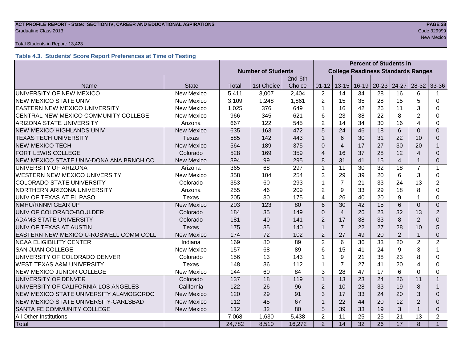#### **ACT PROFILE REPORT - State: SECTION IV, CAREER AND EDUCATIONAL ASPIRATIONS PAGE 28** Code 329999 Craduating Class 2013

#### Total Students in Report: 13,423

## **Table 4.3. Students' Score Report Preferences at Time of Testing**

|                                                           |                   |                           |            |         | <b>Percent of Students in</b> |                                           |                               |    |                |                |                |
|-----------------------------------------------------------|-------------------|---------------------------|------------|---------|-------------------------------|-------------------------------------------|-------------------------------|----|----------------|----------------|----------------|
|                                                           |                   | <b>Number of Students</b> |            |         |                               | <b>College Readiness Standards Ranges</b> |                               |    |                |                |                |
|                                                           |                   |                           |            | 2nd-6th |                               |                                           |                               |    |                |                |                |
| Name                                                      | <b>State</b>      | <b>Total</b>              | 1st Choice | Choice  | $01 - 12$                     |                                           | 13-15   16-19   20-23   24-27 |    |                | $28-32$ 33-36  |                |
| UNIVERSITY OF NEW MEXICO                                  | <b>New Mexico</b> | 5,411                     | 3,007      | 2,404   | $\overline{2}$                | 14                                        | 34                            | 28 | 16             | 6              |                |
| <b>NEW MEXICO STATE UNIV</b>                              | <b>New Mexico</b> | 3,109                     | 1,248      | 1,861   | $\overline{2}$                | 15                                        | 35                            | 28 | 15             | 5              | $\Omega$       |
| EASTERN NEW MEXICO UNIVERSITY                             | New Mexico        | 1,025                     | 376        | 649     | 1                             | 16                                        | 42                            | 26 | 11             | 3              | 0              |
| CENTRAL NEW MEXICO COMMUNITY COLLEGE                      | <b>New Mexico</b> | 966                       | 345        | 621     | 6                             | 23                                        | 38                            | 22 | 8              | $\overline{2}$ | 0              |
| <b>ARIZONA STATE UNIVERSITY</b>                           | Arizona           | 667                       | 122        | 545     | $\overline{2}$                | 14                                        | 34                            | 30 | 16             | 4              | 0              |
| <b>NEW MEXICO HIGHLANDS UNIV</b>                          | <b>New Mexico</b> | 635                       | 163        | 472     | 5                             | 24                                        | 46                            | 18 | 6              | $\Omega$       | $\Omega$       |
| <b>TEXAS TECH UNIVERSITY</b>                              | Texas             | 585                       | 142        | 443     | $\mathbf{1}$                  | 6                                         | 30                            | 31 | 22             | 10             | $\Omega$       |
| <b>NEW MEXICO TECH</b>                                    | <b>New Mexico</b> | 564                       | 189        | 375     | $\Omega$                      | 4                                         | 17                            | 27 | 30             | 20             | 1              |
| <b>FORT LEWIS COLLEGE</b>                                 | Colorado          | 528                       | 169        | 359     | $\overline{4}$                | 16                                        | 37                            | 28 | 12             | 4              | $\Omega$       |
| NEW MEXICO STATE UNIV-DONA ANA BRNCH CC                   | <b>New Mexico</b> | 394                       | 99         | 295     | 8                             | 31                                        | 41                            | 15 | $\overline{4}$ |                | 0              |
| UNIVERSITY OF ARIZONA                                     | Arizona           | 365                       | 68         | 297     | $\mathbf{1}$                  | 11                                        | 30                            | 32 | 18             | 7              | $\mathbf 1$    |
| WESTERN NEW MEXICO UNIVERSITY                             | <b>New Mexico</b> | 358                       | 104        | 254     | 3                             | 29                                        | 39                            | 20 | 6              | 3              | 0              |
| <b>COLORADO STATE UNIVERSITY</b>                          | Colorado          | 353                       | 60         | 293     | 1                             | $\overline{7}$                            | 21                            | 33 | 24             | 13             | $\overline{2}$ |
| NORTHERN ARIZONA UNIVERSITY                               | Arizona           | 255                       | 46         | 209     | $\overline{2}$                | 9                                         | 33                            | 29 | 18             | 8              | $\Omega$       |
| UNIV OF TEXAS AT EL PASO                                  | Texas             | 205                       | 30         | 175     | 4                             | 26                                        | 40                            | 20 | 9              |                | $\Omega$       |
| NMHU/RNNM GEAR UP                                         | <b>New Mexico</b> | 203                       | 123        | 80      | 6                             | 30                                        | 42                            | 15 | 6              | $\overline{0}$ | $\overline{0}$ |
| UNIV OF COLORADO-BOULDER                                  | Colorado          | 184                       | 35         | 149     | $\Omega$                      | $\overline{\mathbf{4}}$                   | 26                            | 23 | 32             | 13             | 2              |
| <b>ADAMS STATE UNIVERSITY</b>                             | Colorado          | 181                       | 40         | 141     | 2                             | 17                                        | 38                            | 33 | 8              | 2              | 0              |
| UNIV OF TEXAS AT AUSTIN                                   | <b>Texas</b>      | 175                       | 35         | 140     | $\mathbf{1}$                  | $\overline{7}$                            | 22                            | 27 | 28             | 10             | 5              |
| EASTERN NEW MEXICO U-ROSWELL COMM COLL                    | <b>New Mexico</b> | 174                       | 72         | 102     | $\overline{2}$                | 27                                        | 49                            | 20 | $\overline{2}$ |                | $\Omega$       |
| <b>NCAA ELIGIBILITY CENTER</b>                            | Indiana           | 169                       | 80         | 89      | $\overline{2}$                | 6                                         | 36                            | 33 | 20             | $\overline{2}$ | $\overline{2}$ |
| <b>SAN JUAN COLLEGE</b>                                   | New Mexico        | 157                       | 68         | 89      | 6                             | 15                                        | 41                            | 24 | 9              | 3              |                |
| UNIVERSITY OF COLORADO DENVER                             | Colorado          | 156                       | 13         | 143     | 1                             | 9                                         | 21                            | 38 | 23             | 8              | 0              |
| <b>WEST TEXAS A&amp;M UNIVERSITY</b>                      | Texas             | 148                       | 36         | 112     | $\mathbf 1$                   | $\overline{7}$                            | 27                            | 41 | 20             | 4              | 0              |
| NEW MEXICO JUNIOR COLLEGE                                 | New Mexico        | 144                       | 60         | 84      | 3                             | 28                                        | 47                            | 17 | 6              | $\Omega$       | 0              |
| UNIVERSITY OF DENVER                                      | Colorado          | 137                       | 18         | 119     | $\mathbf{1}$                  | 13                                        | 23                            | 24 | 26             | 11             | $\mathbf{1}$   |
| UNIVERSITY OF CALIFORNIA-LOS ANGELES                      | California        | 122                       | 26         | 96      | $\overline{2}$                | 10                                        | 28                            | 33 | 19             | 8              |                |
| NEW MEXICO STATE UNIVERSITY ALAMOGORDO                    | <b>New Mexico</b> |                           | 29         | 91      | 3                             | 17                                        | 33                            | 24 | 20             | 3              | $\Omega$       |
| NEW MEXICO STATE UNIVERSITY-CARLSBAD<br><b>New Mexico</b> |                   | 112                       | 45         | 67      | $\mathbf 1$                   | 22                                        | 44                            | 20 | 12             | $\overline{2}$ | $\Omega$       |
| SANTA FE COMMUNITY COLLEGE                                | <b>New Mexico</b> | 112                       | 32         | 80      | 5                             | 39                                        | 33                            | 19 | 3              |                | $\Omega$       |
| All Other Institutions                                    |                   | 7,068                     | 1,630      | 5,438   | $\overline{2}$                | 11                                        | 25                            | 25 | 21             | 13             | $\overline{2}$ |
| Total                                                     |                   | 24,782                    | 8,510      | 16,272  | 2                             | 14                                        | $\overline{32}$               | 26 | 17             | 8              | $\mathbf{1}$   |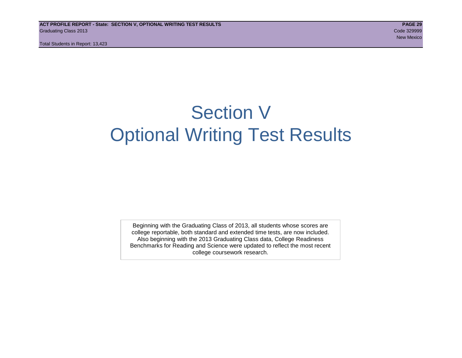Total Students in Report: 13,423

# Section V Optional Writing Test Results

Beginning with the Graduating Class of 2013, all students whose scores are college reportable, both standard and extended time tests, are now included. Also beginning with the 2013 Graduating Class data, College Readiness Benchmarks for Reading and Science were updated to reflect the most recent college coursework research.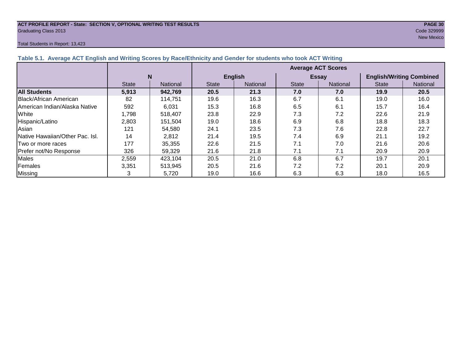#### **ACT PROFILE REPORT - State: SECTION V, OPTIONAL WRITING TEST RESULTS PAGE 30** Graduating Class 2013 Code 329999

#### Total Students in Report: 13,423

New Mexico and the contract of the contract of the contract of the contract of the contract of the contract of

| Table 5.1. Average ACT English and Writing Scores by Race/Ethnicity and Gender for students who took ACT Writing |              |                 |                           |                 |              |                 |                                 |          |  |  |  |  |
|------------------------------------------------------------------------------------------------------------------|--------------|-----------------|---------------------------|-----------------|--------------|-----------------|---------------------------------|----------|--|--|--|--|
|                                                                                                                  |              |                 | <b>Average ACT Scores</b> |                 |              |                 |                                 |          |  |  |  |  |
|                                                                                                                  |              | N               |                           | <b>English</b>  |              | <b>Essay</b>    | <b>English/Writing Combined</b> |          |  |  |  |  |
|                                                                                                                  | <b>State</b> | <b>National</b> | <b>State</b>              | <b>National</b> | <b>State</b> | <b>National</b> | <b>State</b>                    | National |  |  |  |  |
| <b>All Students</b>                                                                                              | 5,913        | 942,769         | 20.5                      | 21.3            | 7.0          | 7.0             | 19.9                            | 20.5     |  |  |  |  |
| Black/African American                                                                                           | 82           | 114.751         | 19.6                      | 16.3            | 6.7          | 6.1             | 19.0                            | 16.0     |  |  |  |  |
| American Indian/Alaska Native                                                                                    | 592          | 6,031           | 15.3                      | 16.8            | 6.5          | 6.1             | 15.7                            | 16.4     |  |  |  |  |
| White                                                                                                            | 1,798        | 518.407         | 23.8                      | 22.9            | 7.3          | 7.2             | 22.6                            | 21.9     |  |  |  |  |
| Hispanic/Latino                                                                                                  | 2,803        | 151,504         | 19.0                      | 18.6            | 6.9          | 6.8             | 18.8                            | 18.3     |  |  |  |  |
| Asian                                                                                                            | 121          | 54,580          | 24.1                      | 23.5            | 7.3          | 7.6             | 22.8                            | 22.7     |  |  |  |  |
| <b>INative Hawaiian/Other Pac. Isl.</b>                                                                          | 14           | 2,812           | 21.4                      | 19.5            | 7.4          | 6.9             | 21.1                            | 19.2     |  |  |  |  |
| Two or more races                                                                                                | 177          | 35,355          | 22.6                      | 21.5            | 7.1          | 7.0             | 21.6                            | 20.6     |  |  |  |  |
| Prefer not/No Response                                                                                           | 326          | 59,329          | 21.6                      | 21.8            | 7.1          | 7.1             | 20.9                            | 20.9     |  |  |  |  |
| <b>Males</b>                                                                                                     | 2,559        | 423,104         | 20.5                      | 21.0            | 6.8          | 6.7             | 19.7                            | 20.1     |  |  |  |  |
| Females                                                                                                          | 3,351        | 513,945         | 20.5                      | 21.6            | 7.2          | 7.2             | 20.1                            | 20.9     |  |  |  |  |
| <b>Missing</b>                                                                                                   |              | 5,720           | 19.0                      | 16.6            | 6.3          | 6.3             | 18.0                            | 16.5     |  |  |  |  |